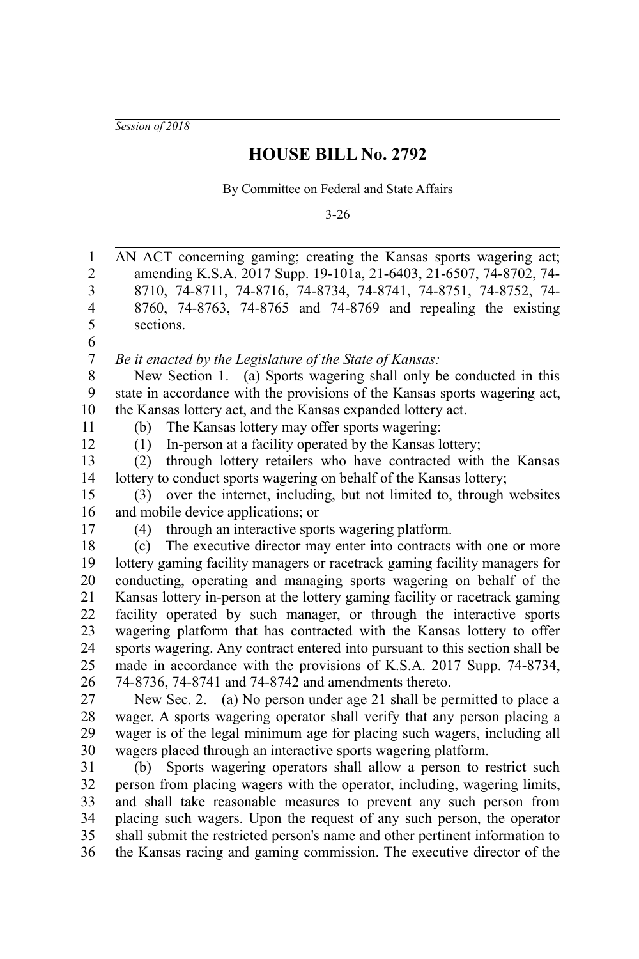*Session of 2018*

## **HOUSE BILL No. 2792**

By Committee on Federal and State Affairs

3-26

| $\mathbf{1}$   | AN ACT concerning gaming; creating the Kansas sports wagering act;           |
|----------------|------------------------------------------------------------------------------|
| $\overline{c}$ | amending K.S.A. 2017 Supp. 19-101a, 21-6403, 21-6507, 74-8702, 74-           |
| 3              | 8710, 74-8711, 74-8716, 74-8734, 74-8741, 74-8751, 74-8752, 74-              |
| $\overline{4}$ | 8760, 74-8763, 74-8765 and 74-8769 and repealing the existing                |
| 5              | sections.                                                                    |
| 6              |                                                                              |
| $\overline{7}$ | Be it enacted by the Legislature of the State of Kansas:                     |
| 8              | New Section 1. (a) Sports wagering shall only be conducted in this           |
| 9              | state in accordance with the provisions of the Kansas sports wagering act,   |
| 10             | the Kansas lottery act, and the Kansas expanded lottery act.                 |
| 11             | The Kansas lottery may offer sports wagering:<br>(b)                         |
| 12             | In-person at a facility operated by the Kansas lottery;<br>(1)               |
| 13             | through lottery retailers who have contracted with the Kansas<br>(2)         |
| 14             | lottery to conduct sports wagering on behalf of the Kansas lottery;          |
| 15             | over the internet, including, but not limited to, through websites<br>(3)    |
| 16             | and mobile device applications; or                                           |
| 17             | through an interactive sports wagering platform.<br>(4)                      |
| 18             | The executive director may enter into contracts with one or more<br>(c)      |
| 19             | lottery gaming facility managers or racetrack gaming facility managers for   |
| 20             | conducting, operating and managing sports wagering on behalf of the          |
| 21             | Kansas lottery in-person at the lottery gaming facility or racetrack gaming  |
| 22             | facility operated by such manager, or through the interactive sports         |
| 23             | wagering platform that has contracted with the Kansas lottery to offer       |
| 24             | sports wagering. Any contract entered into pursuant to this section shall be |
| 25             | made in accordance with the provisions of K.S.A. 2017 Supp. 74-8734,         |
| 26             | 74-8736, 74-8741 and 74-8742 and amendments thereto.                         |
| 27             | New Sec. 2. (a) No person under age 21 shall be permitted to place a         |
| 28             | wager. A sports wagering operator shall verify that any person placing a     |
| 29             | wager is of the legal minimum age for placing such wagers, including all     |
| 30             | wagers placed through an interactive sports wagering platform.               |
| 31             | Sports wagering operators shall allow a person to restrict such<br>(b)       |
| 32             | person from placing wagers with the operator, including, wagering limits,    |
| 33             | and shall take reasonable measures to prevent any such person from           |
| 34             | placing such wagers. Upon the request of any such person, the operator       |
| 35             | shall submit the restricted person's name and other pertinent information to |
| 36             | the Kansas racing and gaming commission. The executive director of the       |
|                |                                                                              |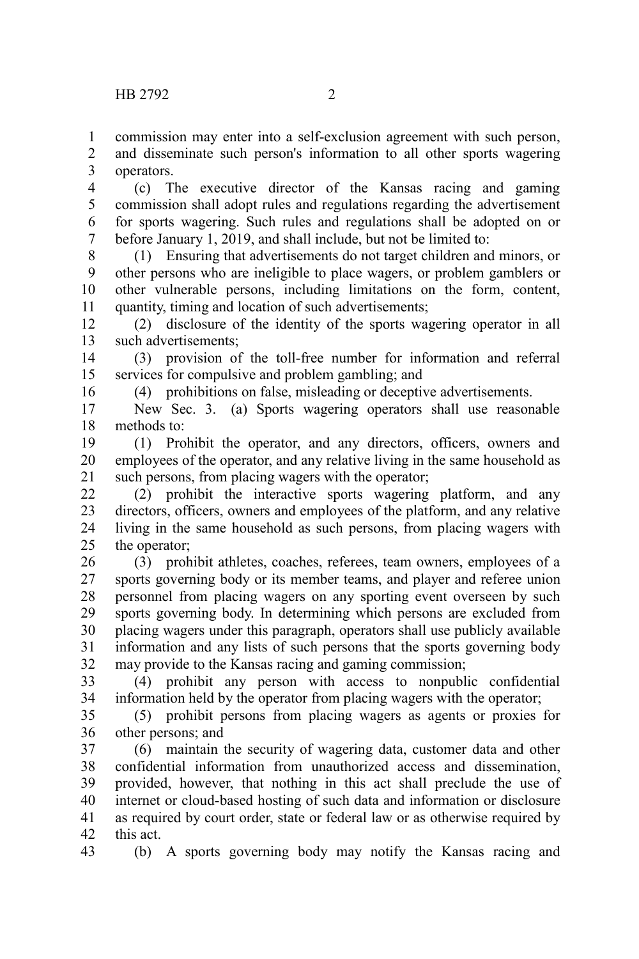commission may enter into a self-exclusion agreement with such person, 1

and disseminate such person's information to all other sports wagering operators. 2 3

(c) The executive director of the Kansas racing and gaming commission shall adopt rules and regulations regarding the advertisement for sports wagering. Such rules and regulations shall be adopted on or before January 1, 2019, and shall include, but not be limited to: 4 5 6 7

(1) Ensuring that advertisements do not target children and minors, or other persons who are ineligible to place wagers, or problem gamblers or other vulnerable persons, including limitations on the form, content, quantity, timing and location of such advertisements; 8 9 10 11

(2) disclosure of the identity of the sports wagering operator in all such advertisements; 12 13

(3) provision of the toll-free number for information and referral services for compulsive and problem gambling; and 14 15

(4) prohibitions on false, misleading or deceptive advertisements.

New Sec. 3. (a) Sports wagering operators shall use reasonable methods to: 17 18

(1) Prohibit the operator, and any directors, officers, owners and employees of the operator, and any relative living in the same household as such persons, from placing wagers with the operator; 19 20 21

(2) prohibit the interactive sports wagering platform, and any directors, officers, owners and employees of the platform, and any relative living in the same household as such persons, from placing wagers with the operator; 22 23 24 25

(3) prohibit athletes, coaches, referees, team owners, employees of a sports governing body or its member teams, and player and referee union personnel from placing wagers on any sporting event overseen by such sports governing body. In determining which persons are excluded from placing wagers under this paragraph, operators shall use publicly available information and any lists of such persons that the sports governing body may provide to the Kansas racing and gaming commission; 26 27 28 29 30 31 32

(4) prohibit any person with access to nonpublic confidential information held by the operator from placing wagers with the operator; 33 34

(5) prohibit persons from placing wagers as agents or proxies for other persons; and 35 36

(6) maintain the security of wagering data, customer data and other confidential information from unauthorized access and dissemination, provided, however, that nothing in this act shall preclude the use of internet or cloud-based hosting of such data and information or disclosure as required by court order, state or federal law or as otherwise required by this act. 37 38 39 40 41 42

43

16

(b) A sports governing body may notify the Kansas racing and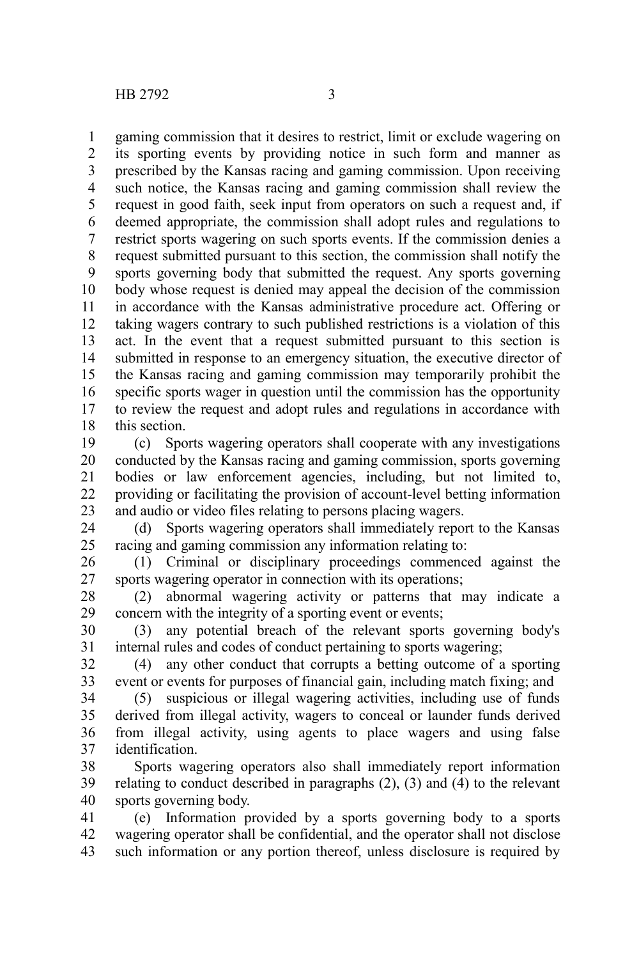gaming commission that it desires to restrict, limit or exclude wagering on its sporting events by providing notice in such form and manner as prescribed by the Kansas racing and gaming commission. Upon receiving such notice, the Kansas racing and gaming commission shall review the request in good faith, seek input from operators on such a request and, if deemed appropriate, the commission shall adopt rules and regulations to restrict sports wagering on such sports events. If the commission denies a request submitted pursuant to this section, the commission shall notify the sports governing body that submitted the request. Any sports governing body whose request is denied may appeal the decision of the commission in accordance with the Kansas administrative procedure act. Offering or taking wagers contrary to such published restrictions is a violation of this act. In the event that a request submitted pursuant to this section is submitted in response to an emergency situation, the executive director of the Kansas racing and gaming commission may temporarily prohibit the specific sports wager in question until the commission has the opportunity to review the request and adopt rules and regulations in accordance with this section. 1 2 3 4 5 6 7 8 9 10 11 12 13 14 15 16 17 18

(c) Sports wagering operators shall cooperate with any investigations conducted by the Kansas racing and gaming commission, sports governing bodies or law enforcement agencies, including, but not limited to, providing or facilitating the provision of account-level betting information and audio or video files relating to persons placing wagers. 19 20 21 22 23

(d) Sports wagering operators shall immediately report to the Kansas racing and gaming commission any information relating to: 24 25

(1) Criminal or disciplinary proceedings commenced against the sports wagering operator in connection with its operations; 26 27

(2) abnormal wagering activity or patterns that may indicate a concern with the integrity of a sporting event or events; 28 29

(3) any potential breach of the relevant sports governing body's internal rules and codes of conduct pertaining to sports wagering; 30 31

(4) any other conduct that corrupts a betting outcome of a sporting event or events for purposes of financial gain, including match fixing; and 32 33

(5) suspicious or illegal wagering activities, including use of funds derived from illegal activity, wagers to conceal or launder funds derived from illegal activity, using agents to place wagers and using false identification. 34 35 36 37

Sports wagering operators also shall immediately report information relating to conduct described in paragraphs (2), (3) and (4) to the relevant sports governing body. 38 39 40

(e) Information provided by a sports governing body to a sports wagering operator shall be confidential, and the operator shall not disclose such information or any portion thereof, unless disclosure is required by 41 42 43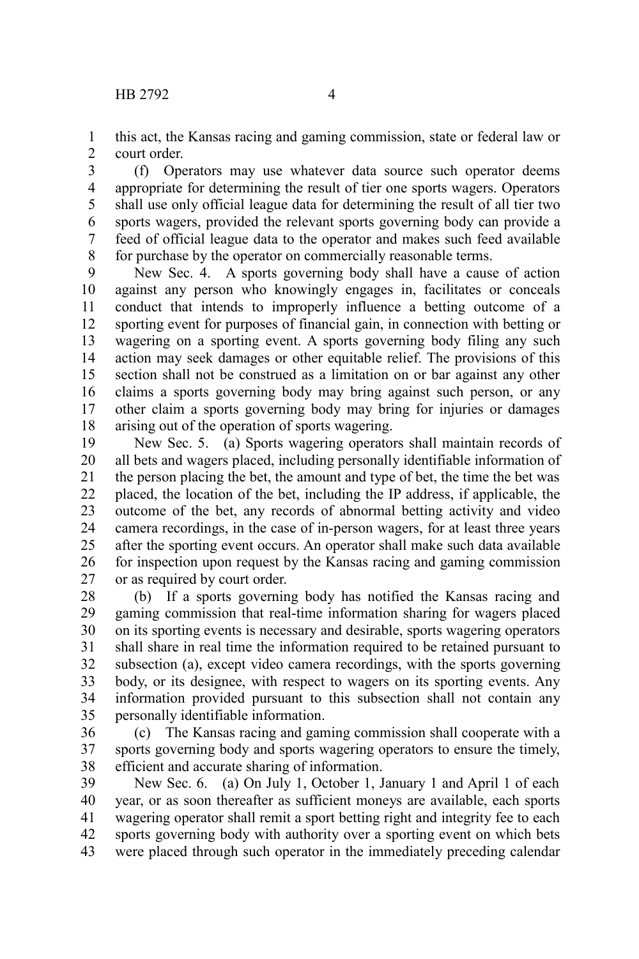this act, the Kansas racing and gaming commission, state or federal law or court order. 1 2

(f) Operators may use whatever data source such operator deems appropriate for determining the result of tier one sports wagers. Operators shall use only official league data for determining the result of all tier two sports wagers, provided the relevant sports governing body can provide a feed of official league data to the operator and makes such feed available for purchase by the operator on commercially reasonable terms. 3 4 5 6 7 8

New Sec. 4. A sports governing body shall have a cause of action against any person who knowingly engages in, facilitates or conceals conduct that intends to improperly influence a betting outcome of a sporting event for purposes of financial gain, in connection with betting or wagering on a sporting event. A sports governing body filing any such action may seek damages or other equitable relief. The provisions of this section shall not be construed as a limitation on or bar against any other claims a sports governing body may bring against such person, or any other claim a sports governing body may bring for injuries or damages arising out of the operation of sports wagering. 9 10 11 12 13 14 15 16 17 18

New Sec. 5. (a) Sports wagering operators shall maintain records of all bets and wagers placed, including personally identifiable information of the person placing the bet, the amount and type of bet, the time the bet was placed, the location of the bet, including the IP address, if applicable, the outcome of the bet, any records of abnormal betting activity and video camera recordings, in the case of in-person wagers, for at least three years after the sporting event occurs. An operator shall make such data available for inspection upon request by the Kansas racing and gaming commission or as required by court order. 19 20 21 22 23 24 25 26 27

(b) If a sports governing body has notified the Kansas racing and gaming commission that real-time information sharing for wagers placed on its sporting events is necessary and desirable, sports wagering operators shall share in real time the information required to be retained pursuant to subsection (a), except video camera recordings, with the sports governing body, or its designee, with respect to wagers on its sporting events. Any information provided pursuant to this subsection shall not contain any personally identifiable information. 28 29 30 31 32 33 34 35

(c) The Kansas racing and gaming commission shall cooperate with a sports governing body and sports wagering operators to ensure the timely, efficient and accurate sharing of information. 36 37 38

New Sec. 6. (a) On July 1, October 1, January 1 and April 1 of each year, or as soon thereafter as sufficient moneys are available, each sports wagering operator shall remit a sport betting right and integrity fee to each sports governing body with authority over a sporting event on which bets were placed through such operator in the immediately preceding calendar 39 40 41 42 43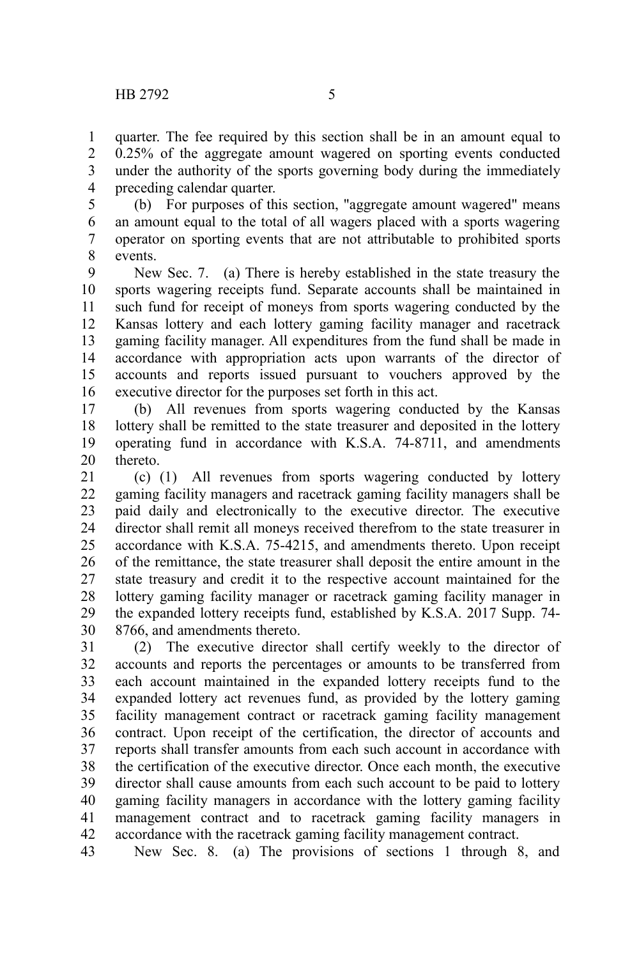quarter. The fee required by this section shall be in an amount equal to 0.25% of the aggregate amount wagered on sporting events conducted under the authority of the sports governing body during the immediately preceding calendar quarter. 1 2 3 4

(b) For purposes of this section, "aggregate amount wagered" means an amount equal to the total of all wagers placed with a sports wagering operator on sporting events that are not attributable to prohibited sports events. 5 6 7 8

New Sec. 7. (a) There is hereby established in the state treasury the sports wagering receipts fund. Separate accounts shall be maintained in such fund for receipt of moneys from sports wagering conducted by the Kansas lottery and each lottery gaming facility manager and racetrack gaming facility manager. All expenditures from the fund shall be made in accordance with appropriation acts upon warrants of the director of accounts and reports issued pursuant to vouchers approved by the executive director for the purposes set forth in this act. 9 10 11 12 13 14 15 16

(b) All revenues from sports wagering conducted by the Kansas lottery shall be remitted to the state treasurer and deposited in the lottery operating fund in accordance with K.S.A. 74-8711, and amendments thereto. 17 18 19 20

(c) (1) All revenues from sports wagering conducted by lottery gaming facility managers and racetrack gaming facility managers shall be paid daily and electronically to the executive director. The executive director shall remit all moneys received therefrom to the state treasurer in accordance with K.S.A. 75-4215, and amendments thereto. Upon receipt of the remittance, the state treasurer shall deposit the entire amount in the state treasury and credit it to the respective account maintained for the lottery gaming facility manager or racetrack gaming facility manager in the expanded lottery receipts fund, established by K.S.A. 2017 Supp. 74- 8766, and amendments thereto. 21 22 23 24 25 26 27 28 29 30

(2) The executive director shall certify weekly to the director of accounts and reports the percentages or amounts to be transferred from each account maintained in the expanded lottery receipts fund to the expanded lottery act revenues fund, as provided by the lottery gaming facility management contract or racetrack gaming facility management contract. Upon receipt of the certification, the director of accounts and reports shall transfer amounts from each such account in accordance with the certification of the executive director. Once each month, the executive director shall cause amounts from each such account to be paid to lottery gaming facility managers in accordance with the lottery gaming facility management contract and to racetrack gaming facility managers in accordance with the racetrack gaming facility management contract. 31 32 33 34 35 36 37 38 39 40 41 42

New Sec. 8. (a) The provisions of sections 1 through 8, and 43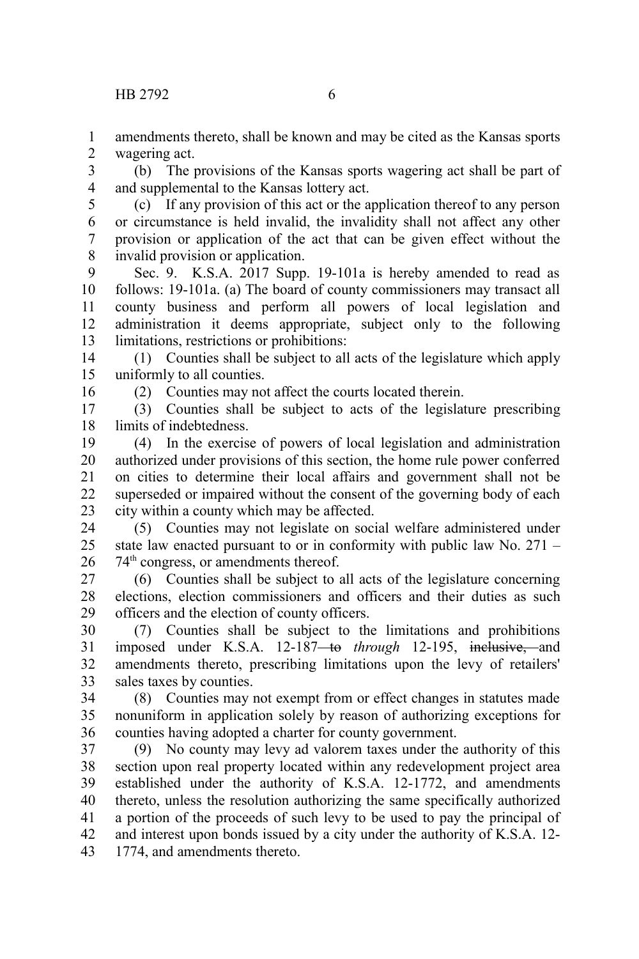amendments thereto, shall be known and may be cited as the Kansas sports wagering act. 1 2

(b) The provisions of the Kansas sports wagering act shall be part of and supplemental to the Kansas lottery act. 3 4

5

(c) If any provision of this act or the application thereof to any person or circumstance is held invalid, the invalidity shall not affect any other provision or application of the act that can be given effect without the invalid provision or application. 6 7 8

Sec. 9. K.S.A. 2017 Supp. 19-101a is hereby amended to read as follows: 19-101a. (a) The board of county commissioners may transact all county business and perform all powers of local legislation and administration it deems appropriate, subject only to the following limitations, restrictions or prohibitions: 9 10 11 12 13

(1) Counties shall be subject to all acts of the legislature which apply uniformly to all counties. 14 15

16

(2) Counties may not affect the courts located therein.

(3) Counties shall be subject to acts of the legislature prescribing limits of indebtedness. 17 18

(4) In the exercise of powers of local legislation and administration authorized under provisions of this section, the home rule power conferred on cities to determine their local affairs and government shall not be superseded or impaired without the consent of the governing body of each city within a county which may be affected. 19 20 21 22 23

(5) Counties may not legislate on social welfare administered under state law enacted pursuant to or in conformity with public law No. 271 – 74<sup>th</sup> congress, or amendments thereof. 24 25 26

(6) Counties shall be subject to all acts of the legislature concerning elections, election commissioners and officers and their duties as such officers and the election of county officers. 27 28 29

(7) Counties shall be subject to the limitations and prohibitions imposed under K.S.A. 12-187<del> to</del> *through* 12-195, inclusive, and amendments thereto, prescribing limitations upon the levy of retailers' sales taxes by counties. 30 31 32 33

(8) Counties may not exempt from or effect changes in statutes made nonuniform in application solely by reason of authorizing exceptions for counties having adopted a charter for county government. 34 35 36

(9) No county may levy ad valorem taxes under the authority of this section upon real property located within any redevelopment project area established under the authority of K.S.A. 12-1772, and amendments thereto, unless the resolution authorizing the same specifically authorized a portion of the proceeds of such levy to be used to pay the principal of and interest upon bonds issued by a city under the authority of K.S.A. 12- 1774, and amendments thereto. 37 38 39 40 41 42 43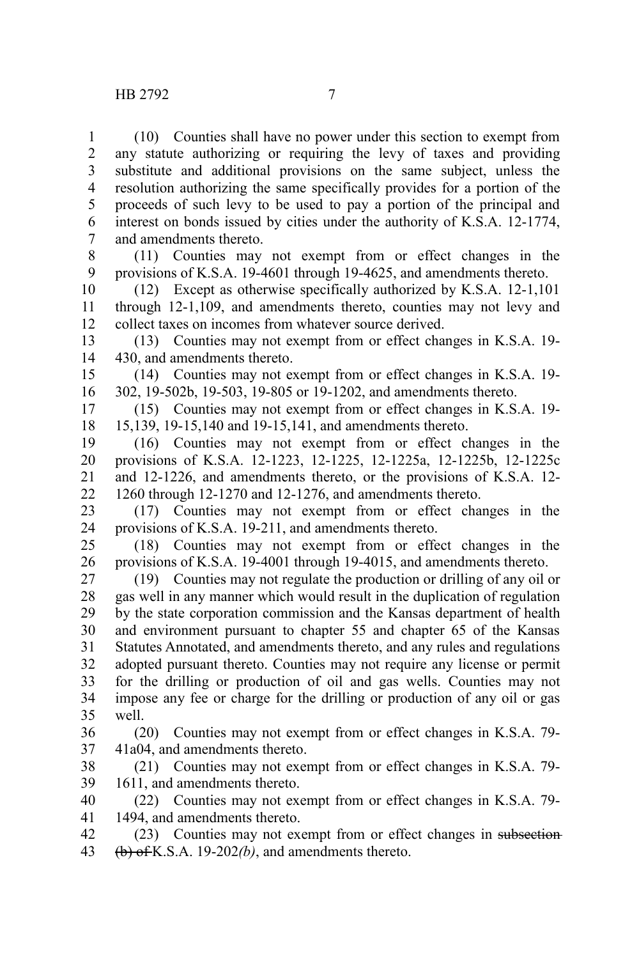(10) Counties shall have no power under this section to exempt from any statute authorizing or requiring the levy of taxes and providing substitute and additional provisions on the same subject, unless the resolution authorizing the same specifically provides for a portion of the proceeds of such levy to be used to pay a portion of the principal and interest on bonds issued by cities under the authority of K.S.A. 12-1774, and amendments thereto. 1 2 3 4 5 6 7

(11) Counties may not exempt from or effect changes in the provisions of K.S.A. 19-4601 through 19-4625, and amendments thereto. 8 9

(12) Except as otherwise specifically authorized by K.S.A. 12-1,101 through 12-1,109, and amendments thereto, counties may not levy and collect taxes on incomes from whatever source derived. 10 11 12

(13) Counties may not exempt from or effect changes in K.S.A. 19- 430, and amendments thereto. 13 14

(14) Counties may not exempt from or effect changes in K.S.A. 19- 302, 19-502b, 19-503, 19-805 or 19-1202, and amendments thereto. 15 16

(15) Counties may not exempt from or effect changes in K.S.A. 19- 15,139, 19-15,140 and 19-15,141, and amendments thereto. 17 18

(16) Counties may not exempt from or effect changes in the provisions of K.S.A. 12-1223, 12-1225, 12-1225a, 12-1225b, 12-1225c and 12-1226, and amendments thereto, or the provisions of K.S.A. 12- 1260 through 12-1270 and 12-1276, and amendments thereto. 19 20 21 22

(17) Counties may not exempt from or effect changes in the provisions of K.S.A. 19-211, and amendments thereto. 23 24

(18) Counties may not exempt from or effect changes in the provisions of K.S.A. 19-4001 through 19-4015, and amendments thereto. 25 26

(19) Counties may not regulate the production or drilling of any oil or gas well in any manner which would result in the duplication of regulation by the state corporation commission and the Kansas department of health and environment pursuant to chapter 55 and chapter 65 of the Kansas Statutes Annotated, and amendments thereto, and any rules and regulations adopted pursuant thereto. Counties may not require any license or permit for the drilling or production of oil and gas wells. Counties may not impose any fee or charge for the drilling or production of any oil or gas well. 27 28 29 30 31 32 33 34 35

(20) Counties may not exempt from or effect changes in K.S.A. 79- 41a04, and amendments thereto. 36 37

(21) Counties may not exempt from or effect changes in K.S.A. 79- 1611, and amendments thereto. 38 39

(22) Counties may not exempt from or effect changes in K.S.A. 79- 1494, and amendments thereto. 40 41

(23) Counties may not exempt from or effect changes in subsection (b) of K.S.A. 19-202*(b)*, and amendments thereto. 42 43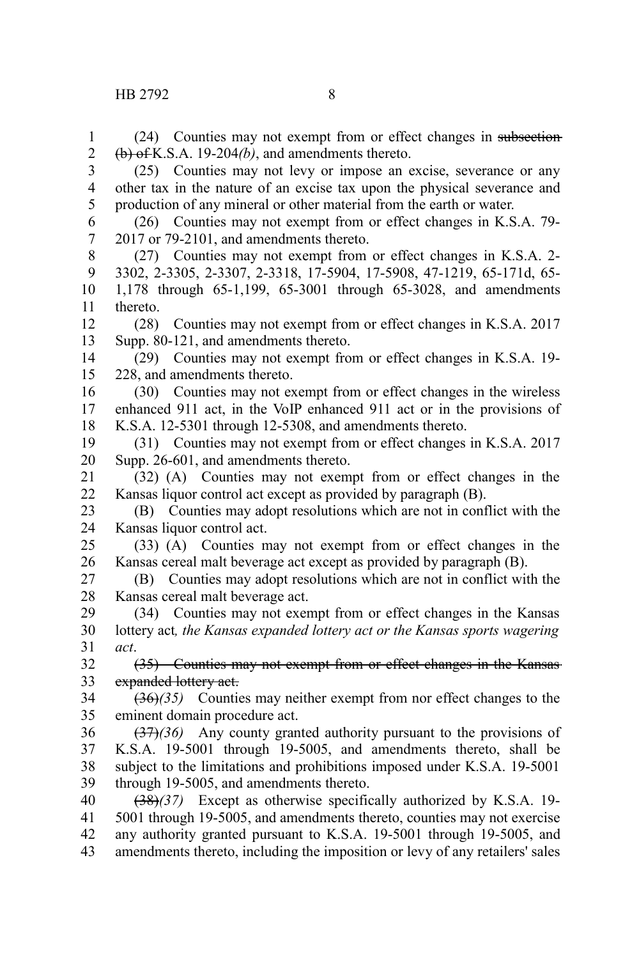1

(24) Counties may not exempt from or effect changes in subsection

(b) of K.S.A. 19-204*(b)*, and amendments thereto. (25) Counties may not levy or impose an excise, severance or any other tax in the nature of an excise tax upon the physical severance and production of any mineral or other material from the earth or water. (26) Counties may not exempt from or effect changes in K.S.A. 79- 2017 or 79-2101, and amendments thereto. (27) Counties may not exempt from or effect changes in K.S.A. 2- 3302, 2-3305, 2-3307, 2-3318, 17-5904, 17-5908, 47-1219, 65-171d, 65- 2 3 4 5 6 7 8 9

1,178 through 65-1,199, 65-3001 through 65-3028, and amendments thereto. 10 11

(28) Counties may not exempt from or effect changes in K.S.A. 2017 Supp. 80-121, and amendments thereto. 12 13

(29) Counties may not exempt from or effect changes in K.S.A. 19- 228, and amendments thereto. 14 15

- (30) Counties may not exempt from or effect changes in the wireless enhanced 911 act, in the VoIP enhanced 911 act or in the provisions of K.S.A. 12-5301 through 12-5308, and amendments thereto. 16 17 18
- (31) Counties may not exempt from or effect changes in K.S.A. 2017 Supp. 26-601, and amendments thereto. 19 20

(32) (A) Counties may not exempt from or effect changes in the Kansas liquor control act except as provided by paragraph (B). 21 22

(B) Counties may adopt resolutions which are not in conflict with the Kansas liquor control act. 23 24

(33) (A) Counties may not exempt from or effect changes in the Kansas cereal malt beverage act except as provided by paragraph (B). 25 26

(B) Counties may adopt resolutions which are not in conflict with the Kansas cereal malt beverage act. 27 28

(34) Counties may not exempt from or effect changes in the Kansas lottery act*, the Kansas expanded lottery act or the Kansas sports wagering act*. 29 30 31

(35) Counties may not exempt from or effect changes in the Kansas expanded lottery act. 32 33

(36)*(35)* Counties may neither exempt from nor effect changes to the eminent domain procedure act. 34 35

(37)*(36)* Any county granted authority pursuant to the provisions of K.S.A. 19-5001 through 19-5005, and amendments thereto, shall be subject to the limitations and prohibitions imposed under K.S.A. 19-5001 through 19-5005, and amendments thereto. 36 37 38 39

(38)*(37)* Except as otherwise specifically authorized by K.S.A. 19- 5001 through 19-5005, and amendments thereto, counties may not exercise any authority granted pursuant to K.S.A. 19-5001 through 19-5005, and amendments thereto, including the imposition or levy of any retailers' sales 40 41 42 43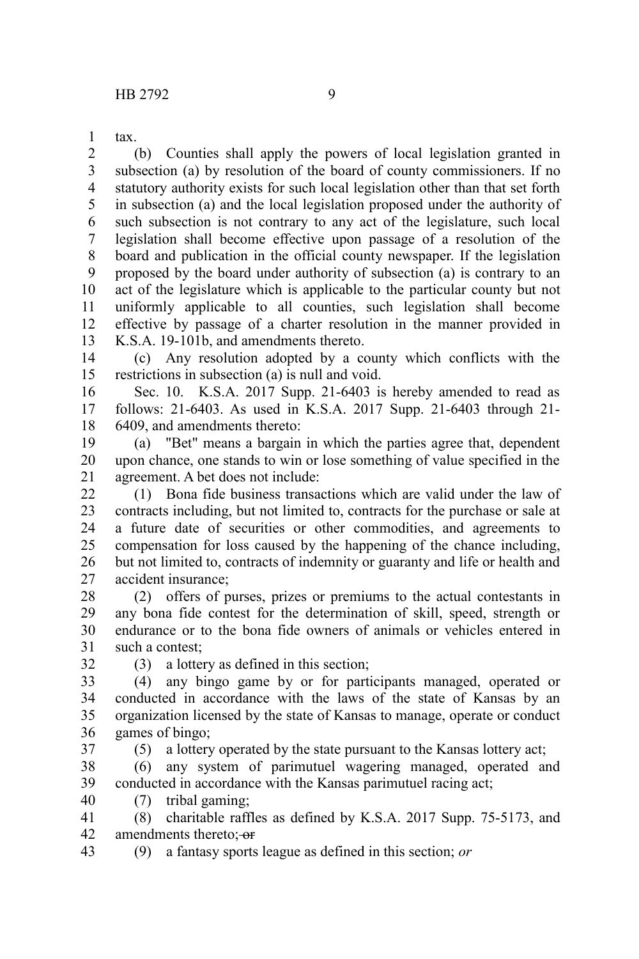tax. 1

(b) Counties shall apply the powers of local legislation granted in subsection (a) by resolution of the board of county commissioners. If no statutory authority exists for such local legislation other than that set forth in subsection (a) and the local legislation proposed under the authority of such subsection is not contrary to any act of the legislature, such local legislation shall become effective upon passage of a resolution of the board and publication in the official county newspaper. If the legislation proposed by the board under authority of subsection (a) is contrary to an act of the legislature which is applicable to the particular county but not uniformly applicable to all counties, such legislation shall become effective by passage of a charter resolution in the manner provided in K.S.A. 19-101b, and amendments thereto. 2 3 4 5 6 7 8 9 10 11 12 13

(c) Any resolution adopted by a county which conflicts with the restrictions in subsection (a) is null and void. 14 15

Sec. 10. K.S.A. 2017 Supp. 21-6403 is hereby amended to read as follows: 21-6403. As used in K.S.A. 2017 Supp. 21-6403 through 21- 6409, and amendments thereto: 16 17 18

(a) "Bet" means a bargain in which the parties agree that, dependent upon chance, one stands to win or lose something of value specified in the agreement. A bet does not include: 19 20 21

(1) Bona fide business transactions which are valid under the law of contracts including, but not limited to, contracts for the purchase or sale at a future date of securities or other commodities, and agreements to compensation for loss caused by the happening of the chance including, but not limited to, contracts of indemnity or guaranty and life or health and accident insurance;  $22$ 23 24 25 26 27

(2) offers of purses, prizes or premiums to the actual contestants in any bona fide contest for the determination of skill, speed, strength or endurance or to the bona fide owners of animals or vehicles entered in such a contest: 28 29 30 31

32

(3) a lottery as defined in this section;

(4) any bingo game by or for participants managed, operated or conducted in accordance with the laws of the state of Kansas by an organization licensed by the state of Kansas to manage, operate or conduct games of bingo; 33 34 35 36 37

(5) a lottery operated by the state pursuant to the Kansas lottery act;

(6) any system of parimutuel wagering managed, operated and conducted in accordance with the Kansas parimutuel racing act; 38 39

(7) tribal gaming; 40

(8) charitable raffles as defined by K.S.A. 2017 Supp. 75-5173, and amendments thereto:-or 41 42

(9) a fantasy sports league as defined in this section; *or* 43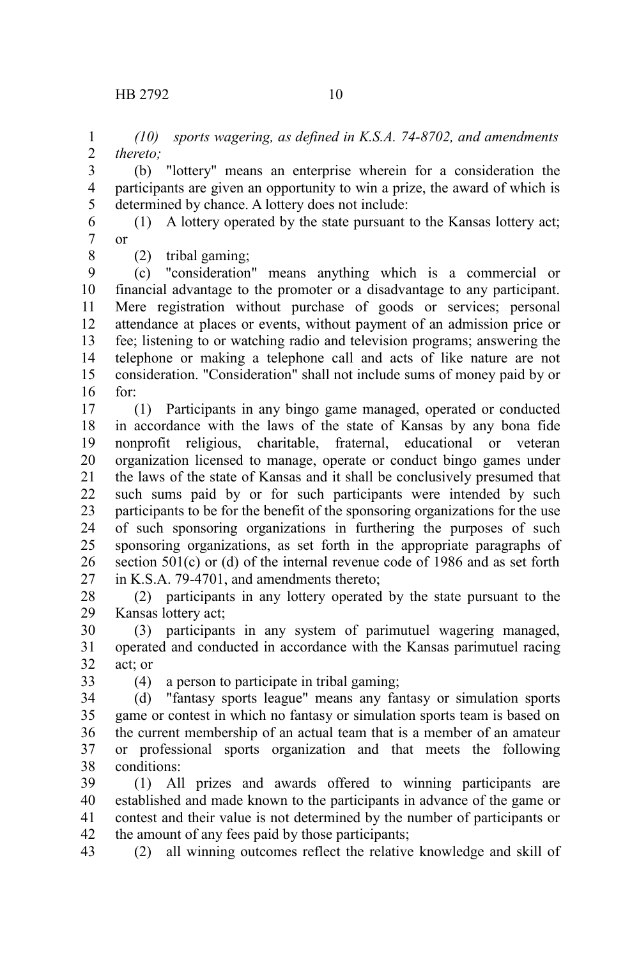*(10) sports wagering, as defined in K.S.A. 74-8702, and amendments thereto;* 1 2

(b) "lottery" means an enterprise wherein for a consideration the participants are given an opportunity to win a prize, the award of which is determined by chance. A lottery does not include: 3 4 5

(1) A lottery operated by the state pursuant to the Kansas lottery act; or 6 7

(2) tribal gaming;

8

(c) "consideration" means anything which is a commercial or financial advantage to the promoter or a disadvantage to any participant. Mere registration without purchase of goods or services; personal attendance at places or events, without payment of an admission price or fee; listening to or watching radio and television programs; answering the telephone or making a telephone call and acts of like nature are not consideration. "Consideration" shall not include sums of money paid by or for: 9 10 11 12 13 14 15 16

(1) Participants in any bingo game managed, operated or conducted in accordance with the laws of the state of Kansas by any bona fide nonprofit religious, charitable, fraternal, educational or veteran organization licensed to manage, operate or conduct bingo games under the laws of the state of Kansas and it shall be conclusively presumed that such sums paid by or for such participants were intended by such participants to be for the benefit of the sponsoring organizations for the use of such sponsoring organizations in furthering the purposes of such sponsoring organizations, as set forth in the appropriate paragraphs of section 501(c) or (d) of the internal revenue code of 1986 and as set forth in K.S.A. 79-4701, and amendments thereto; 17 18 19 20 21 22 23 24 25 26 27

(2) participants in any lottery operated by the state pursuant to the Kansas lottery act; 28 29

(3) participants in any system of parimutuel wagering managed, operated and conducted in accordance with the Kansas parimutuel racing act; or 30 31 32

33

(4) a person to participate in tribal gaming;

(d) "fantasy sports league" means any fantasy or simulation sports game or contest in which no fantasy or simulation sports team is based on the current membership of an actual team that is a member of an amateur or professional sports organization and that meets the following conditions: 34 35 36 37 38

(1) All prizes and awards offered to winning participants are established and made known to the participants in advance of the game or contest and their value is not determined by the number of participants or the amount of any fees paid by those participants; 39 40 41 42

(2) all winning outcomes reflect the relative knowledge and skill of 43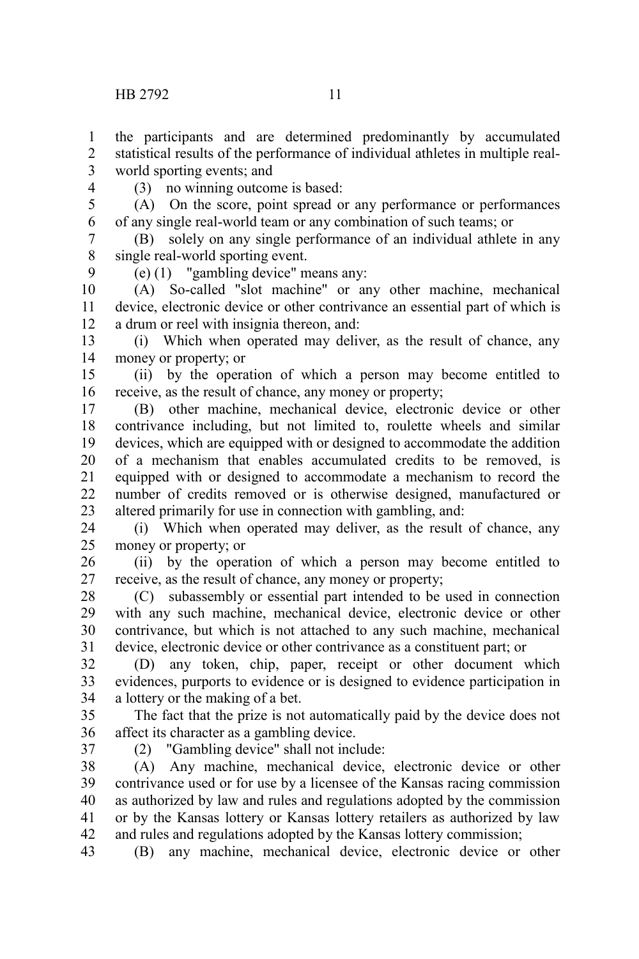the participants and are determined predominantly by accumulated statistical results of the performance of individual athletes in multiple realworld sporting events; and 1 2 3

4

9

(3) no winning outcome is based:

(A) On the score, point spread or any performance or performances of any single real-world team or any combination of such teams; or 5 6

(B) solely on any single performance of an individual athlete in any single real-world sporting event. 7 8

(e) (1) "gambling device" means any:

(A) So-called "slot machine" or any other machine, mechanical device, electronic device or other contrivance an essential part of which is a drum or reel with insignia thereon, and: 10 11 12

(i) Which when operated may deliver, as the result of chance, any money or property; or 13 14

(ii) by the operation of which a person may become entitled to receive, as the result of chance, any money or property; 15 16

(B) other machine, mechanical device, electronic device or other contrivance including, but not limited to, roulette wheels and similar devices, which are equipped with or designed to accommodate the addition of a mechanism that enables accumulated credits to be removed, is equipped with or designed to accommodate a mechanism to record the number of credits removed or is otherwise designed, manufactured or altered primarily for use in connection with gambling, and: 17 18 19 20 21 22 23

(i) Which when operated may deliver, as the result of chance, any money or property; or 24 25

(ii) by the operation of which a person may become entitled to receive, as the result of chance, any money or property; 26 27

(C) subassembly or essential part intended to be used in connection with any such machine, mechanical device, electronic device or other contrivance, but which is not attached to any such machine, mechanical device, electronic device or other contrivance as a constituent part; or 28 29 30 31

(D) any token, chip, paper, receipt or other document which evidences, purports to evidence or is designed to evidence participation in a lottery or the making of a bet. 32 33 34

The fact that the prize is not automatically paid by the device does not affect its character as a gambling device. 35 36

37

(2) "Gambling device" shall not include:

(A) Any machine, mechanical device, electronic device or other contrivance used or for use by a licensee of the Kansas racing commission as authorized by law and rules and regulations adopted by the commission or by the Kansas lottery or Kansas lottery retailers as authorized by law and rules and regulations adopted by the Kansas lottery commission; 38 39 40 41 42

(B) any machine, mechanical device, electronic device or other 43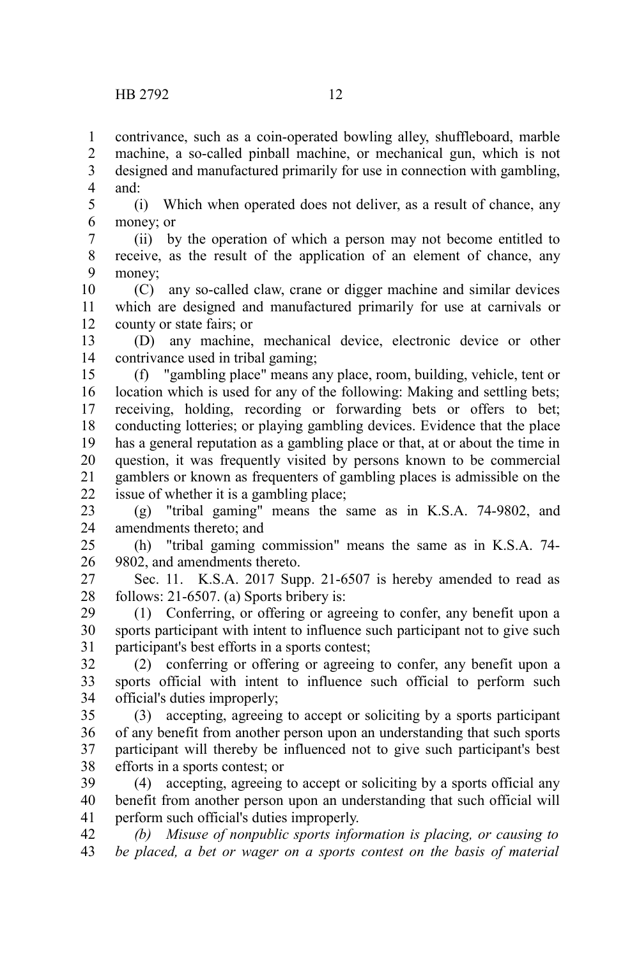contrivance, such as a coin-operated bowling alley, shuffleboard, marble machine, a so-called pinball machine, or mechanical gun, which is not designed and manufactured primarily for use in connection with gambling, and: 1 2 3 4

(i) Which when operated does not deliver, as a result of chance, any money; or 5 6

(ii) by the operation of which a person may not become entitled to receive, as the result of the application of an element of chance, any money; 7 8 9

(C) any so-called claw, crane or digger machine and similar devices which are designed and manufactured primarily for use at carnivals or county or state fairs; or 10 11 12

(D) any machine, mechanical device, electronic device or other contrivance used in tribal gaming; 13 14

(f) "gambling place" means any place, room, building, vehicle, tent or location which is used for any of the following: Making and settling bets; receiving, holding, recording or forwarding bets or offers to bet; conducting lotteries; or playing gambling devices. Evidence that the place has a general reputation as a gambling place or that, at or about the time in question, it was frequently visited by persons known to be commercial gamblers or known as frequenters of gambling places is admissible on the issue of whether it is a gambling place; 15 16 17 18 19 20 21 22

(g) "tribal gaming" means the same as in K.S.A. 74-9802, and amendments thereto; and 23 24

(h) "tribal gaming commission" means the same as in K.S.A. 74- 9802, and amendments thereto. 25 26

Sec. 11. K.S.A. 2017 Supp. 21-6507 is hereby amended to read as follows: 21-6507. (a) Sports bribery is: 27 28

(1) Conferring, or offering or agreeing to confer, any benefit upon a sports participant with intent to influence such participant not to give such participant's best efforts in a sports contest; 29 30 31

(2) conferring or offering or agreeing to confer, any benefit upon a sports official with intent to influence such official to perform such official's duties improperly; 32 33 34

(3) accepting, agreeing to accept or soliciting by a sports participant of any benefit from another person upon an understanding that such sports participant will thereby be influenced not to give such participant's best efforts in a sports contest; or 35 36 37 38

(4) accepting, agreeing to accept or soliciting by a sports official any benefit from another person upon an understanding that such official will perform such official's duties improperly. 39 40 41

*(b) Misuse of nonpublic sports information is placing, or causing to be placed, a bet or wager on a sports contest on the basis of material* 42 43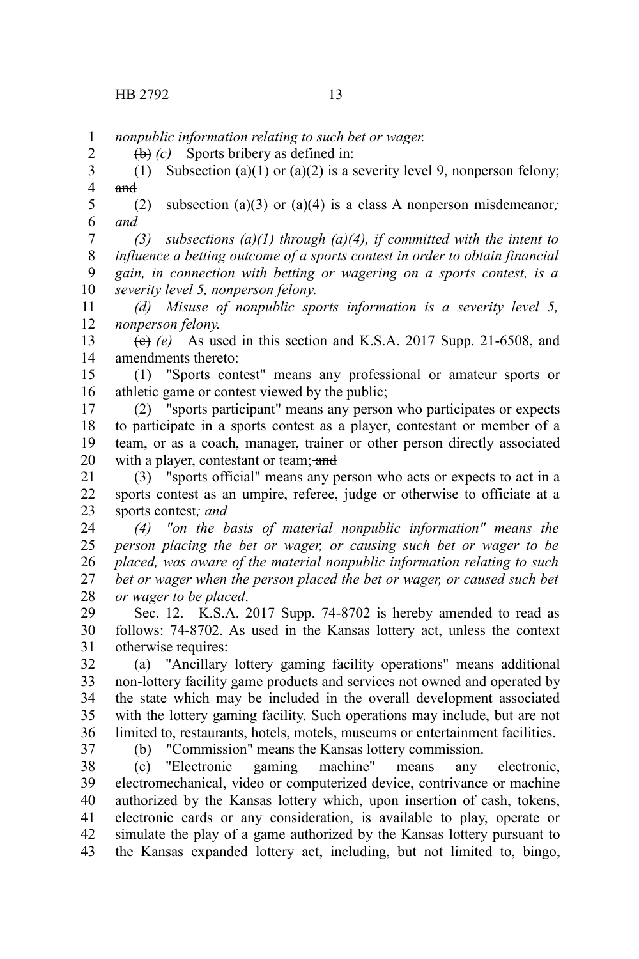2

*nonpublic information relating to such bet or wager.* 1

(b) *(c)* Sports bribery as defined in:

(1) Subsection (a)(1) or (a)(2) is a severity level 9, nonperson felony; and 3 4

(2) subsection (a)(3) or (a)(4) is a class A nonperson misdemeanor*; and* 5 6

*(3) subsections (a)(1) through (a)(4), if committed with the intent to influence a betting outcome of a sports contest in order to obtain financial gain, in connection with betting or wagering on a sports contest, is a severity level 5, nonperson felony*. 7 8 9 10

*(d) Misuse of nonpublic sports information is a severity level 5, nonperson felony.* 11 12

 $(e)$  (e) As used in this section and K.S.A. 2017 Supp. 21-6508, and amendments thereto: 13 14

(1) "Sports contest" means any professional or amateur sports or athletic game or contest viewed by the public; 15 16

(2) "sports participant" means any person who participates or expects to participate in a sports contest as a player, contestant or member of a team, or as a coach, manager, trainer or other person directly associated with a player, contestant or team; and 17 18 19 20

(3) "sports official" means any person who acts or expects to act in a sports contest as an umpire, referee, judge or otherwise to officiate at a sports contest*; and* 21 22 23

*(4) "on the basis of material nonpublic information" means the person placing the bet or wager, or causing such bet or wager to be placed, was aware of the material nonpublic information relating to such bet or wager when the person placed the bet or wager, or caused such bet or wager to be placed*. 24 25 26 27 28

Sec. 12. K.S.A. 2017 Supp. 74-8702 is hereby amended to read as follows: 74-8702. As used in the Kansas lottery act, unless the context otherwise requires: 29 30 31

(a) "Ancillary lottery gaming facility operations" means additional non-lottery facility game products and services not owned and operated by the state which may be included in the overall development associated with the lottery gaming facility. Such operations may include, but are not limited to, restaurants, hotels, motels, museums or entertainment facilities. 32 33 34 35 36

37

(b) "Commission" means the Kansas lottery commission.

(c) "Electronic gaming machine" means any electronic, electromechanical, video or computerized device, contrivance or machine authorized by the Kansas lottery which, upon insertion of cash, tokens, electronic cards or any consideration, is available to play, operate or simulate the play of a game authorized by the Kansas lottery pursuant to the Kansas expanded lottery act, including, but not limited to, bingo, 38 39 40 41 42 43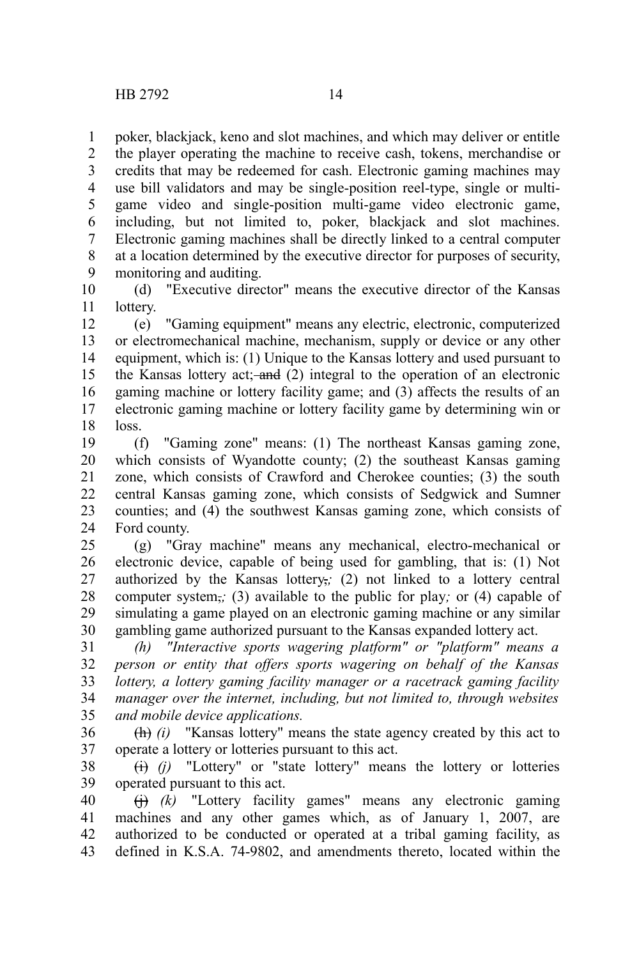poker, blackjack, keno and slot machines, and which may deliver or entitle the player operating the machine to receive cash, tokens, merchandise or credits that may be redeemed for cash. Electronic gaming machines may use bill validators and may be single-position reel-type, single or multigame video and single-position multi-game video electronic game, including, but not limited to, poker, blackjack and slot machines. Electronic gaming machines shall be directly linked to a central computer at a location determined by the executive director for purposes of security, monitoring and auditing. 1 2 3 4 5 6 7 8 9

(d) "Executive director" means the executive director of the Kansas lottery. 10 11

(e) "Gaming equipment" means any electric, electronic, computerized or electromechanical machine, mechanism, supply or device or any other equipment, which is: (1) Unique to the Kansas lottery and used pursuant to the Kansas lottery act; and  $(2)$  integral to the operation of an electronic gaming machine or lottery facility game; and (3) affects the results of an electronic gaming machine or lottery facility game by determining win or loss. 12 13 14 15 16 17 18

(f) "Gaming zone" means: (1) The northeast Kansas gaming zone, which consists of Wyandotte county; (2) the southeast Kansas gaming zone, which consists of Crawford and Cherokee counties; (3) the south central Kansas gaming zone, which consists of Sedgwick and Sumner counties; and (4) the southwest Kansas gaming zone, which consists of Ford county. 19 20 21 22 23 24

(g) "Gray machine" means any mechanical, electro-mechanical or electronic device, capable of being used for gambling, that is: (1) Not authorized by the Kansas lottery,*;* (2) not linked to a lottery central computer system,*;* (3) available to the public for play*;* or (4) capable of simulating a game played on an electronic gaming machine or any similar gambling game authorized pursuant to the Kansas expanded lottery act. 25 26 27 28 29 30

*(h) "Interactive sports wagering platform" or "platform" means a person or entity that offers sports wagering on behalf of the Kansas lottery, a lottery gaming facility manager or a racetrack gaming facility manager over the internet, including, but not limited to, through websites and mobile device applications.* 31 32 33 34 35

(h) *(i)* "Kansas lottery" means the state agency created by this act to operate a lottery or lotteries pursuant to this act. 36 37

(i) *(j)* "Lottery" or "state lottery" means the lottery or lotteries operated pursuant to this act. 38 39

(j) *(k)* "Lottery facility games" means any electronic gaming machines and any other games which, as of January 1, 2007, are authorized to be conducted or operated at a tribal gaming facility, as defined in K.S.A. 74-9802, and amendments thereto, located within the 40 41 42 43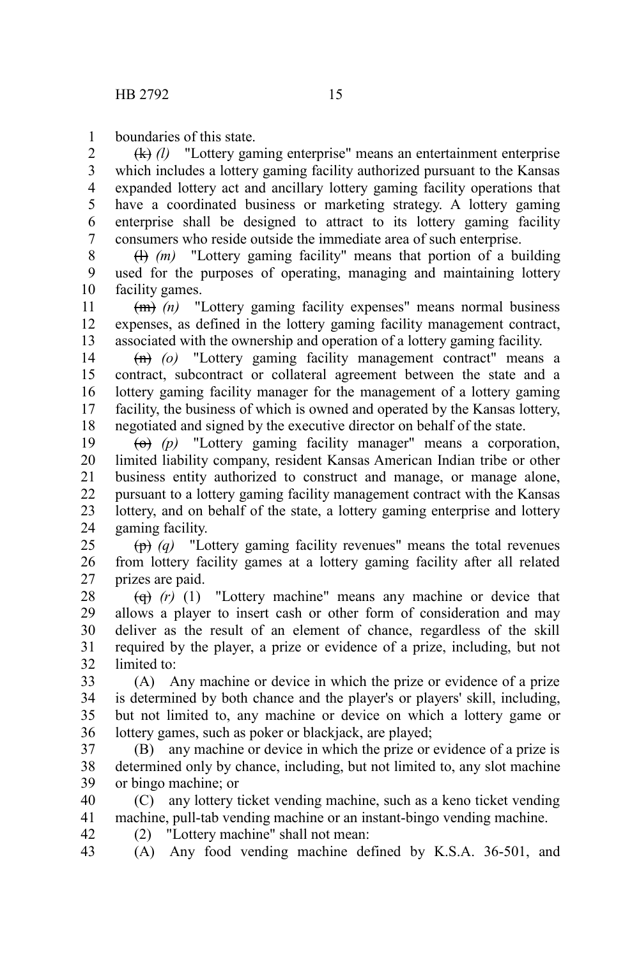boundaries of this state. 1

(k) *(l)* "Lottery gaming enterprise" means an entertainment enterprise which includes a lottery gaming facility authorized pursuant to the Kansas expanded lottery act and ancillary lottery gaming facility operations that have a coordinated business or marketing strategy. A lottery gaming enterprise shall be designed to attract to its lottery gaming facility consumers who reside outside the immediate area of such enterprise. 2 3 4 5 6 7

(l) *(m)* "Lottery gaming facility" means that portion of a building used for the purposes of operating, managing and maintaining lottery facility games. 8 9 10

(m) *(n)* "Lottery gaming facility expenses" means normal business expenses, as defined in the lottery gaming facility management contract, associated with the ownership and operation of a lottery gaming facility. 11 12 13

(n) *(o)* "Lottery gaming facility management contract" means a contract, subcontract or collateral agreement between the state and a lottery gaming facility manager for the management of a lottery gaming facility, the business of which is owned and operated by the Kansas lottery, negotiated and signed by the executive director on behalf of the state. 14 15 16 17 18

(o) *(p)* "Lottery gaming facility manager" means a corporation, limited liability company, resident Kansas American Indian tribe or other business entity authorized to construct and manage, or manage alone, pursuant to a lottery gaming facility management contract with the Kansas lottery, and on behalf of the state, a lottery gaming enterprise and lottery gaming facility. 19 20 21 22 23 24

(p) *(q)* "Lottery gaming facility revenues" means the total revenues from lottery facility games at a lottery gaming facility after all related prizes are paid. 25 26 27

(q) *(r)* (1) "Lottery machine" means any machine or device that allows a player to insert cash or other form of consideration and may deliver as the result of an element of chance, regardless of the skill required by the player, a prize or evidence of a prize, including, but not limited to: 28 29 30 31 32

(A) Any machine or device in which the prize or evidence of a prize is determined by both chance and the player's or players' skill, including, but not limited to, any machine or device on which a lottery game or lottery games, such as poker or blackjack, are played; 33 34 35 36

(B) any machine or device in which the prize or evidence of a prize is determined only by chance, including, but not limited to, any slot machine or bingo machine; or 37 38 39

(C) any lottery ticket vending machine, such as a keno ticket vending machine, pull-tab vending machine or an instant-bingo vending machine. (2) "Lottery machine" shall not mean: 40 41 42

(A) Any food vending machine defined by K.S.A. 36-501, and 43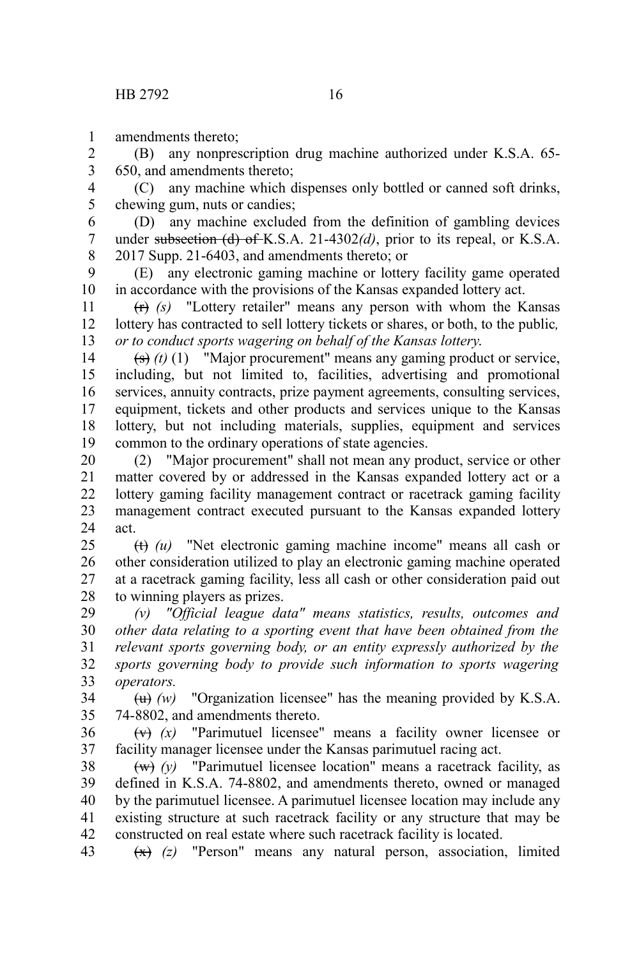amendments thereto; 1

(B) any nonprescription drug machine authorized under K.S.A. 65- 650, and amendments thereto; 2 3

(C) any machine which dispenses only bottled or canned soft drinks, chewing gum, nuts or candies; 4 5

(D) any machine excluded from the definition of gambling devices under subsection (d) of K.S.A. 21-4302*(d)*, prior to its repeal, or K.S.A. 2017 Supp. 21-6403, and amendments thereto; or 6 7 8

(E) any electronic gaming machine or lottery facility game operated in accordance with the provisions of the Kansas expanded lottery act. 9 10

(r) *(s)* "Lottery retailer" means any person with whom the Kansas lottery has contracted to sell lottery tickets or shares, or both, to the public*, or to conduct sports wagering on behalf of the Kansas lottery*. 11 12 13

(s) *(t)* (1) "Major procurement" means any gaming product or service, including, but not limited to, facilities, advertising and promotional services, annuity contracts, prize payment agreements, consulting services, equipment, tickets and other products and services unique to the Kansas lottery, but not including materials, supplies, equipment and services common to the ordinary operations of state agencies. 14 15 16 17 18 19

(2) "Major procurement" shall not mean any product, service or other matter covered by or addressed in the Kansas expanded lottery act or a lottery gaming facility management contract or racetrack gaming facility management contract executed pursuant to the Kansas expanded lottery act. 20 21 22 23 24

(t) *(u)* "Net electronic gaming machine income" means all cash or other consideration utilized to play an electronic gaming machine operated at a racetrack gaming facility, less all cash or other consideration paid out to winning players as prizes. 25 26 27 28

*(v) "Official league data" means statistics, results, outcomes and other data relating to a sporting event that have been obtained from the relevant sports governing body, or an entity expressly authorized by the sports governing body to provide such information to sports wagering operators.* 29 30 31 32 33

 $(w)$  "Organization licensee" has the meaning provided by K.S.A. 74-8802, and amendments thereto. 34 35

(v) *(x)* "Parimutuel licensee" means a facility owner licensee or facility manager licensee under the Kansas parimutuel racing act. 36 37

 $(w)$  *(y)* "Parimutuel licensee location" means a racetrack facility, as defined in K.S.A. 74-8802, and amendments thereto, owned or managed by the parimutuel licensee. A parimutuel licensee location may include any existing structure at such racetrack facility or any structure that may be constructed on real estate where such racetrack facility is located. 38 39 40 41 42

(x) *(z)* "Person" means any natural person, association, limited 43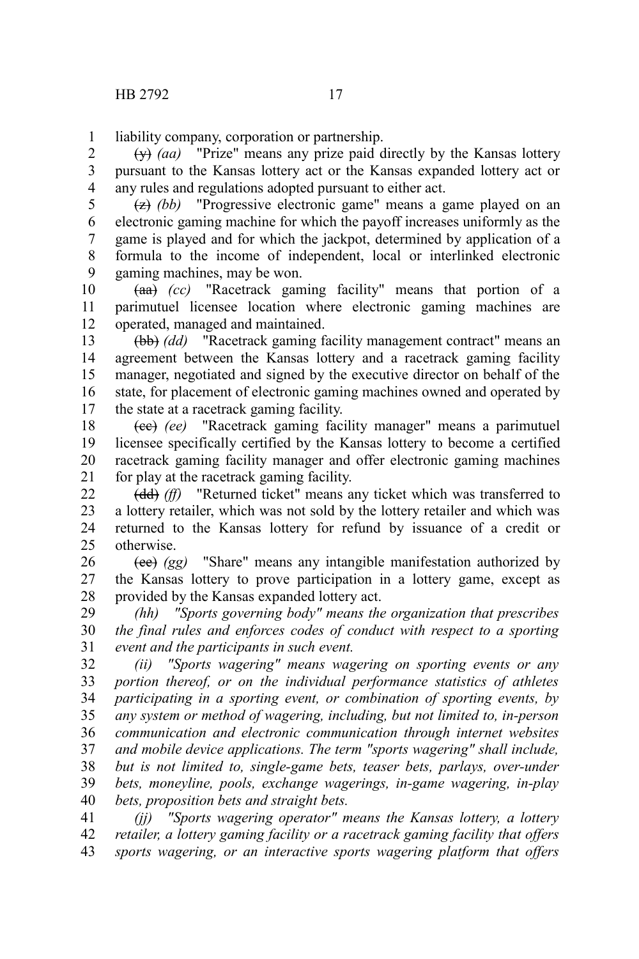liability company, corporation or partnership. 1

(y) *(aa)* "Prize" means any prize paid directly by the Kansas lottery pursuant to the Kansas lottery act or the Kansas expanded lottery act or any rules and regulations adopted pursuant to either act. 2 3 4

(z) *(bb)* "Progressive electronic game" means a game played on an electronic gaming machine for which the payoff increases uniformly as the game is played and for which the jackpot, determined by application of a formula to the income of independent, local or interlinked electronic gaming machines, may be won. 5 6 7 8 9

(aa) *(cc)* "Racetrack gaming facility" means that portion of a parimutuel licensee location where electronic gaming machines are operated, managed and maintained. 10 11 12

(bb) *(dd)* "Racetrack gaming facility management contract" means an agreement between the Kansas lottery and a racetrack gaming facility manager, negotiated and signed by the executive director on behalf of the state, for placement of electronic gaming machines owned and operated by the state at a racetrack gaming facility. 13 14 15 16 17

(cc) *(ee)* "Racetrack gaming facility manager" means a parimutuel licensee specifically certified by the Kansas lottery to become a certified racetrack gaming facility manager and offer electronic gaming machines for play at the racetrack gaming facility. 18 19 20 21

(dd) *(ff)* "Returned ticket" means any ticket which was transferred to a lottery retailer, which was not sold by the lottery retailer and which was returned to the Kansas lottery for refund by issuance of a credit or otherwise. 22 23 24 25

(ee) *(gg)* "Share" means any intangible manifestation authorized by the Kansas lottery to prove participation in a lottery game, except as provided by the Kansas expanded lottery act. 26 27 28

*(hh) "Sports governing body" means the organization that prescribes the final rules and enforces codes of conduct with respect to a sporting event and the participants in such event.* 29 30 31

*(ii) "Sports wagering" means wagering on sporting events or any portion thereof, or on the individual performance statistics of athletes participating in a sporting event, or combination of sporting events, by any system or method of wagering, including, but not limited to, in-person communication and electronic communication through internet websites and mobile device applications. The term "sports wagering" shall include, but is not limited to, single-game bets, teaser bets, parlays, over-under bets, moneyline, pools, exchange wagerings, in-game wagering, in-play bets, proposition bets and straight bets.* 32 33 34 35 36 37 38 39 40

*(jj) "Sports wagering operator" means the Kansas lottery, a lottery retailer, a lottery gaming facility or a racetrack gaming facility that offers sports wagering, or an interactive sports wagering platform that offers* 41 42 43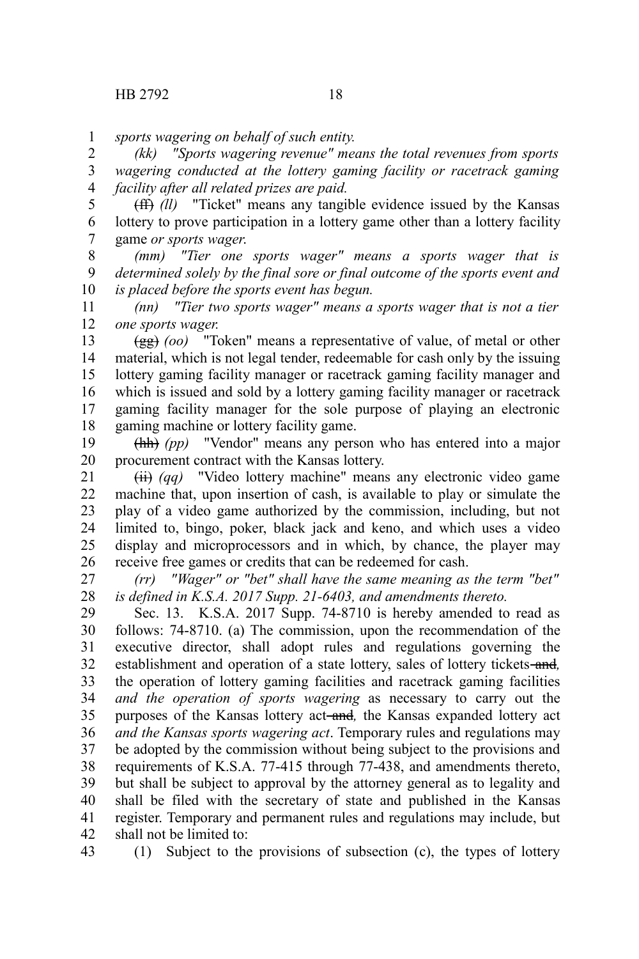*sports wagering on behalf of such entity.* 1

*(kk) "Sports wagering revenue" means the total revenues from sports wagering conducted at the lottery gaming facility or racetrack gaming facility after all related prizes are paid.* 2 3 4

(ff) *(ll)* "Ticket" means any tangible evidence issued by the Kansas lottery to prove participation in a lottery game other than a lottery facility game *or sports wager*. 5 6 7

*(mm) "Tier one sports wager" means a sports wager that is determined solely by the final sore or final outcome of the sports event and is placed before the sports event has begun.* 8 9 10

*(nn) "Tier two sports wager" means a sports wager that is not a tier one sports wager.* 11 12

(gg) *(oo)* "Token" means a representative of value, of metal or other material, which is not legal tender, redeemable for cash only by the issuing lottery gaming facility manager or racetrack gaming facility manager and which is issued and sold by a lottery gaming facility manager or racetrack gaming facility manager for the sole purpose of playing an electronic gaming machine or lottery facility game. 13 14 15 16 17 18

(hh) *(pp)* "Vendor" means any person who has entered into a major procurement contract with the Kansas lottery. 19 20

(ii) *(qq)* "Video lottery machine" means any electronic video game machine that, upon insertion of cash, is available to play or simulate the play of a video game authorized by the commission, including, but not limited to, bingo, poker, black jack and keno, and which uses a video display and microprocessors and in which, by chance, the player may receive free games or credits that can be redeemed for cash. 21 22 23 24 25 26

*(rr) "Wager" or "bet" shall have the same meaning as the term "bet" is defined in K.S.A. 2017 Supp. 21-6403, and amendments thereto.* 27 28

Sec. 13. K.S.A. 2017 Supp. 74-8710 is hereby amended to read as follows: 74-8710. (a) The commission, upon the recommendation of the executive director, shall adopt rules and regulations governing the establishment and operation of a state lottery, sales of lottery tickets-and, the operation of lottery gaming facilities and racetrack gaming facilities *and the operation of sports wagering* as necessary to carry out the purposes of the Kansas lottery act-and, the Kansas expanded lottery act *and the Kansas sports wagering act*. Temporary rules and regulations may be adopted by the commission without being subject to the provisions and requirements of K.S.A. 77-415 through 77-438, and amendments thereto, but shall be subject to approval by the attorney general as to legality and shall be filed with the secretary of state and published in the Kansas register. Temporary and permanent rules and regulations may include, but shall not be limited to: 29 30 31 32 33 34 35 36 37 38 39 40 41 42

43

(1) Subject to the provisions of subsection (c), the types of lottery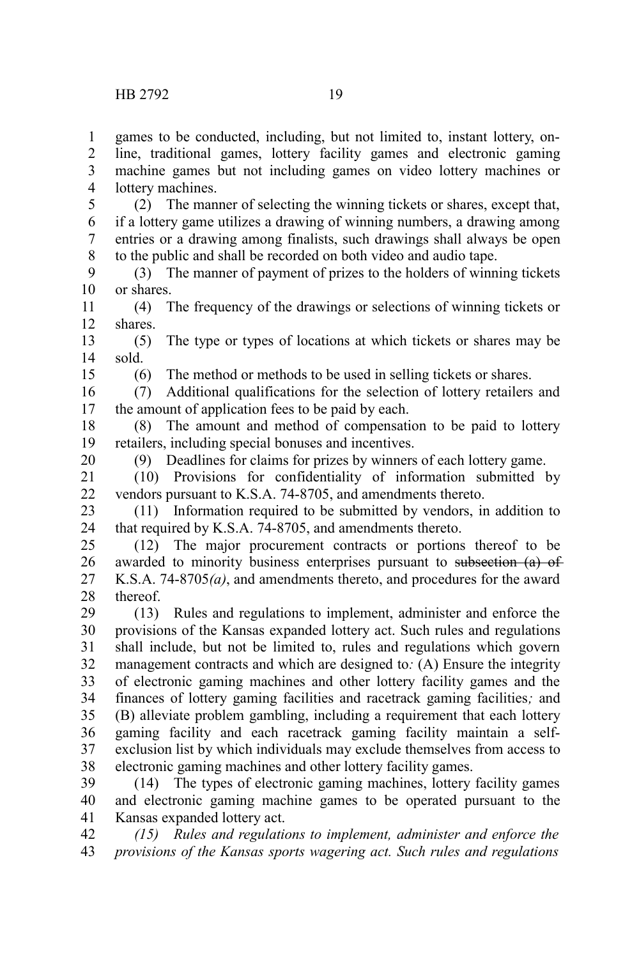15

20

games to be conducted, including, but not limited to, instant lottery, online, traditional games, lottery facility games and electronic gaming machine games but not including games on video lottery machines or lottery machines. 1 2 3 4

(2) The manner of selecting the winning tickets or shares, except that, if a lottery game utilizes a drawing of winning numbers, a drawing among entries or a drawing among finalists, such drawings shall always be open to the public and shall be recorded on both video and audio tape. 5 6 7 8

(3) The manner of payment of prizes to the holders of winning tickets or shares. 9 10

(4) The frequency of the drawings or selections of winning tickets or shares. 11 12

(5) The type or types of locations at which tickets or shares may be sold. 13 14

(6) The method or methods to be used in selling tickets or shares.

(7) Additional qualifications for the selection of lottery retailers and the amount of application fees to be paid by each. 16 17

(8) The amount and method of compensation to be paid to lottery retailers, including special bonuses and incentives. 18 19

(9) Deadlines for claims for prizes by winners of each lottery game.

(10) Provisions for confidentiality of information submitted by vendors pursuant to K.S.A. 74-8705, and amendments thereto. 21 22

(11) Information required to be submitted by vendors, in addition to that required by K.S.A. 74-8705, and amendments thereto. 23 24

(12) The major procurement contracts or portions thereof to be awarded to minority business enterprises pursuant to subsection (a) of K.S.A. 74-8705*(a)*, and amendments thereto, and procedures for the award thereof. 25 26 27 28

(13) Rules and regulations to implement, administer and enforce the provisions of the Kansas expanded lottery act. Such rules and regulations shall include, but not be limited to, rules and regulations which govern management contracts and which are designed to*:* (A) Ensure the integrity of electronic gaming machines and other lottery facility games and the finances of lottery gaming facilities and racetrack gaming facilities*;* and (B) alleviate problem gambling, including a requirement that each lottery gaming facility and each racetrack gaming facility maintain a selfexclusion list by which individuals may exclude themselves from access to electronic gaming machines and other lottery facility games. 29 30 31 32 33 34 35 36 37 38

(14) The types of electronic gaming machines, lottery facility games and electronic gaming machine games to be operated pursuant to the Kansas expanded lottery act. 39 40 41

*(15) Rules and regulations to implement, administer and enforce the provisions of the Kansas sports wagering act. Such rules and regulations* 42 43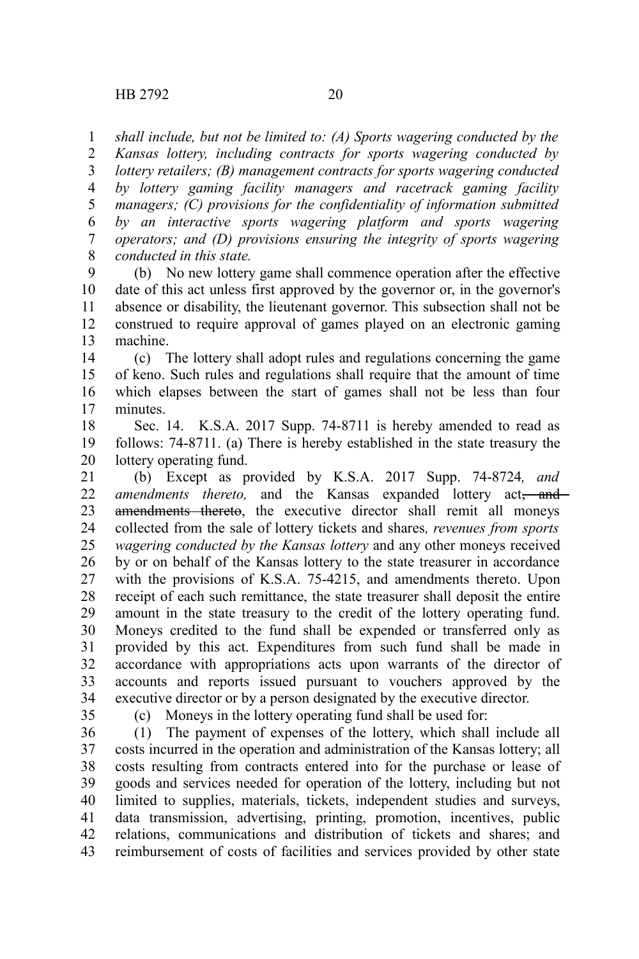*shall include, but not be limited to: (A) Sports wagering conducted by the* 1

*Kansas lottery, including contracts for sports wagering conducted by* 2

*lottery retailers; (B) management contracts for sports wagering conducted by lottery gaming facility managers and racetrack gaming facility managers; (C) provisions for the confidentiality of information submitted by an interactive sports wagering platform and sports wagering operators; and (D) provisions ensuring the integrity of sports wagering conducted in this state.* 3 4 5 6 7 8

(b) No new lottery game shall commence operation after the effective date of this act unless first approved by the governor or, in the governor's absence or disability, the lieutenant governor. This subsection shall not be construed to require approval of games played on an electronic gaming machine. 9 10 11 12 13

(c) The lottery shall adopt rules and regulations concerning the game of keno. Such rules and regulations shall require that the amount of time which elapses between the start of games shall not be less than four minutes. 14 15 16 17

Sec. 14. K.S.A. 2017 Supp. 74-8711 is hereby amended to read as follows: 74-8711. (a) There is hereby established in the state treasury the lottery operating fund. 18 19 20

(b) Except as provided by K.S.A. 2017 Supp. 74-8724*, and amendments thereto*, and the Kansas expanded lottery act<del>, and</del> amendments thereto, the executive director shall remit all moneys collected from the sale of lottery tickets and shares*, revenues from sports wagering conducted by the Kansas lottery* and any other moneys received by or on behalf of the Kansas lottery to the state treasurer in accordance with the provisions of K.S.A. 75-4215, and amendments thereto. Upon receipt of each such remittance, the state treasurer shall deposit the entire amount in the state treasury to the credit of the lottery operating fund. Moneys credited to the fund shall be expended or transferred only as provided by this act. Expenditures from such fund shall be made in accordance with appropriations acts upon warrants of the director of accounts and reports issued pursuant to vouchers approved by the executive director or by a person designated by the executive director. 21 22 23 24 25 26 27 28 29 30 31 32 33 34

35

(c) Moneys in the lottery operating fund shall be used for:

(1) The payment of expenses of the lottery, which shall include all costs incurred in the operation and administration of the Kansas lottery; all costs resulting from contracts entered into for the purchase or lease of goods and services needed for operation of the lottery, including but not limited to supplies, materials, tickets, independent studies and surveys, data transmission, advertising, printing, promotion, incentives, public relations, communications and distribution of tickets and shares; and reimbursement of costs of facilities and services provided by other state 36 37 38 39 40 41 42 43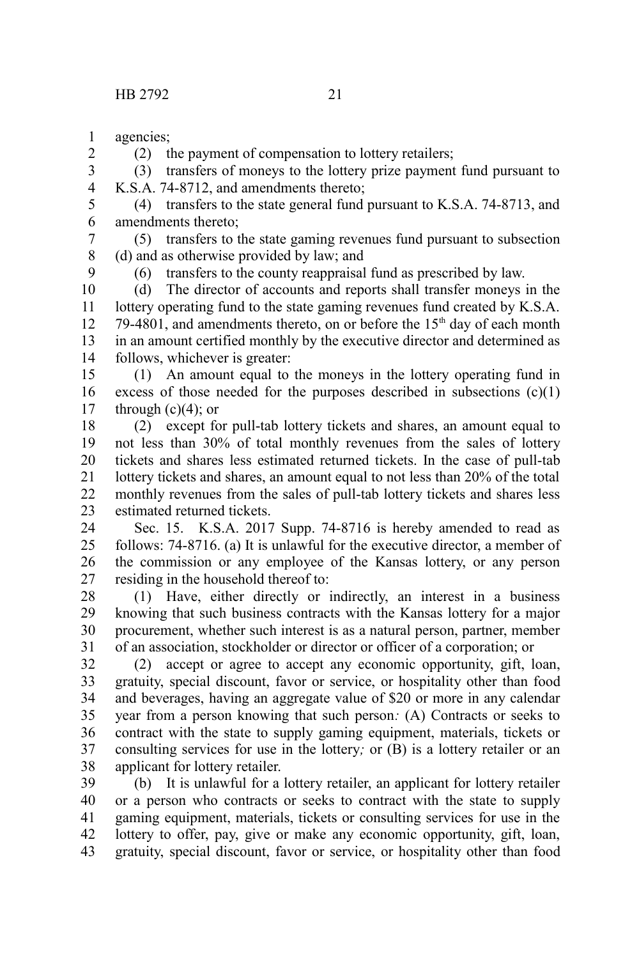agencies; 1

(2) the payment of compensation to lottery retailers;

(3) transfers of moneys to the lottery prize payment fund pursuant to K.S.A. 74-8712, and amendments thereto; 3 4

(4) transfers to the state general fund pursuant to K.S.A. 74-8713, and amendments thereto; 5 6

(5) transfers to the state gaming revenues fund pursuant to subsection (d) and as otherwise provided by law; and 7 8

9

2

(6) transfers to the county reappraisal fund as prescribed by law.

(d) The director of accounts and reports shall transfer moneys in the lottery operating fund to the state gaming revenues fund created by K.S.A. 79-4801, and amendments thereto, on or before the 15<sup>th</sup> day of each month in an amount certified monthly by the executive director and determined as follows, whichever is greater: 10 11 12 13 14

(1) An amount equal to the moneys in the lottery operating fund in excess of those needed for the purposes described in subsections  $(c)(1)$ through  $(c)(4)$ ; or 15 16 17

(2) except for pull-tab lottery tickets and shares, an amount equal to not less than 30% of total monthly revenues from the sales of lottery tickets and shares less estimated returned tickets. In the case of pull-tab lottery tickets and shares, an amount equal to not less than 20% of the total monthly revenues from the sales of pull-tab lottery tickets and shares less estimated returned tickets. 18 19 20 21 22 23

Sec. 15. K.S.A. 2017 Supp. 74-8716 is hereby amended to read as follows: 74-8716. (a) It is unlawful for the executive director, a member of the commission or any employee of the Kansas lottery, or any person residing in the household thereof to: 24 25 26 27

(1) Have, either directly or indirectly, an interest in a business knowing that such business contracts with the Kansas lottery for a major procurement, whether such interest is as a natural person, partner, member of an association, stockholder or director or officer of a corporation; or 28 29 30 31

(2) accept or agree to accept any economic opportunity, gift, loan, gratuity, special discount, favor or service, or hospitality other than food and beverages, having an aggregate value of \$20 or more in any calendar year from a person knowing that such person*:* (A) Contracts or seeks to contract with the state to supply gaming equipment, materials, tickets or consulting services for use in the lottery*;* or (B) is a lottery retailer or an applicant for lottery retailer. 32 33 34 35 36 37 38

(b) It is unlawful for a lottery retailer, an applicant for lottery retailer or a person who contracts or seeks to contract with the state to supply gaming equipment, materials, tickets or consulting services for use in the lottery to offer, pay, give or make any economic opportunity, gift, loan, gratuity, special discount, favor or service, or hospitality other than food 39 40 41 42 43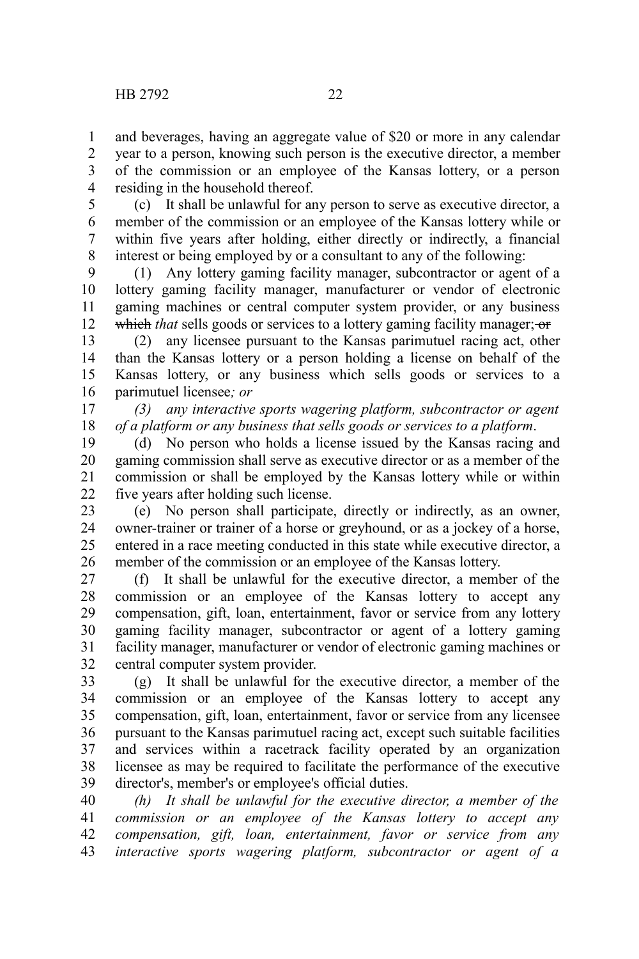and beverages, having an aggregate value of \$20 or more in any calendar year to a person, knowing such person is the executive director, a member of the commission or an employee of the Kansas lottery, or a person residing in the household thereof. 1 2 3 4

(c) It shall be unlawful for any person to serve as executive director, a member of the commission or an employee of the Kansas lottery while or within five years after holding, either directly or indirectly, a financial interest or being employed by or a consultant to any of the following: 5 6 7 8

(1) Any lottery gaming facility manager, subcontractor or agent of a lottery gaming facility manager, manufacturer or vendor of electronic gaming machines or central computer system provider, or any business which *that* sells goods or services to a lottery gaming facility manager; or 9 10 11 12

(2) any licensee pursuant to the Kansas parimutuel racing act, other than the Kansas lottery or a person holding a license on behalf of the Kansas lottery, or any business which sells goods or services to a parimutuel licensee*; or* 13 14 15 16

*(3) any interactive sports wagering platform, subcontractor or agent of a platform or any business that sells goods or services to a platform*. 17 18

(d) No person who holds a license issued by the Kansas racing and gaming commission shall serve as executive director or as a member of the commission or shall be employed by the Kansas lottery while or within five years after holding such license. 19 20 21 22

(e) No person shall participate, directly or indirectly, as an owner, owner-trainer or trainer of a horse or greyhound, or as a jockey of a horse, entered in a race meeting conducted in this state while executive director, a member of the commission or an employee of the Kansas lottery. 23 24 25 26

(f) It shall be unlawful for the executive director, a member of the commission or an employee of the Kansas lottery to accept any compensation, gift, loan, entertainment, favor or service from any lottery gaming facility manager, subcontractor or agent of a lottery gaming facility manager, manufacturer or vendor of electronic gaming machines or central computer system provider. 27 28 29 30 31 32

(g) It shall be unlawful for the executive director, a member of the commission or an employee of the Kansas lottery to accept any compensation, gift, loan, entertainment, favor or service from any licensee pursuant to the Kansas parimutuel racing act, except such suitable facilities and services within a racetrack facility operated by an organization licensee as may be required to facilitate the performance of the executive director's, member's or employee's official duties. 33 34 35 36 37 38 39

*(h) It shall be unlawful for the executive director, a member of the commission or an employee of the Kansas lottery to accept any compensation, gift, loan, entertainment, favor or service from any interactive sports wagering platform, subcontractor or agent of a* 40 41 42 43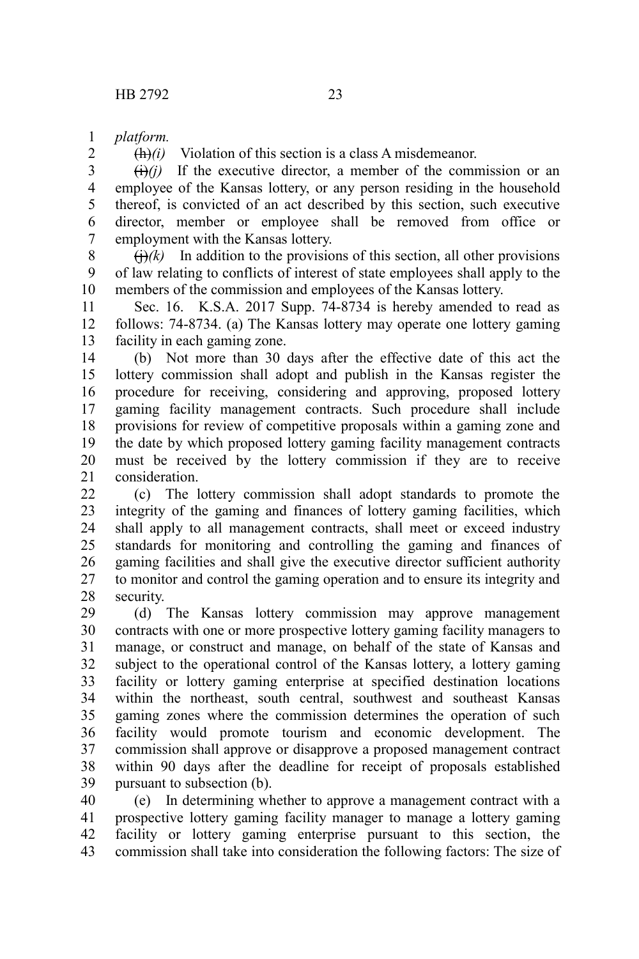*platform.* 1

2

 $\frac{h(h)}{i}$  Violation of this section is a class A misdemeanor.

 $\overrightarrow{(ii)}$  If the executive director, a member of the commission or an employee of the Kansas lottery, or any person residing in the household thereof, is convicted of an act described by this section, such executive director, member or employee shall be removed from office or employment with the Kansas lottery. 3 4 5 6 7

 $\left(\frac{1}{k}\right)$  In addition to the provisions of this section, all other provisions of law relating to conflicts of interest of state employees shall apply to the members of the commission and employees of the Kansas lottery. 8 9 10

Sec. 16. K.S.A. 2017 Supp. 74-8734 is hereby amended to read as follows: 74-8734. (a) The Kansas lottery may operate one lottery gaming facility in each gaming zone. 11 12 13

(b) Not more than 30 days after the effective date of this act the lottery commission shall adopt and publish in the Kansas register the procedure for receiving, considering and approving, proposed lottery gaming facility management contracts. Such procedure shall include provisions for review of competitive proposals within a gaming zone and the date by which proposed lottery gaming facility management contracts must be received by the lottery commission if they are to receive consideration. 14 15 16 17 18 19 20 21

(c) The lottery commission shall adopt standards to promote the integrity of the gaming and finances of lottery gaming facilities, which shall apply to all management contracts, shall meet or exceed industry standards for monitoring and controlling the gaming and finances of gaming facilities and shall give the executive director sufficient authority to monitor and control the gaming operation and to ensure its integrity and security.  $22$ 23 24 25 26 27 28

(d) The Kansas lottery commission may approve management contracts with one or more prospective lottery gaming facility managers to manage, or construct and manage, on behalf of the state of Kansas and subject to the operational control of the Kansas lottery, a lottery gaming facility or lottery gaming enterprise at specified destination locations within the northeast, south central, southwest and southeast Kansas gaming zones where the commission determines the operation of such facility would promote tourism and economic development. The commission shall approve or disapprove a proposed management contract within 90 days after the deadline for receipt of proposals established pursuant to subsection (b). 29 30 31 32 33 34 35 36 37 38 39

(e) In determining whether to approve a management contract with a prospective lottery gaming facility manager to manage a lottery gaming facility or lottery gaming enterprise pursuant to this section, the commission shall take into consideration the following factors: The size of 40 41 42 43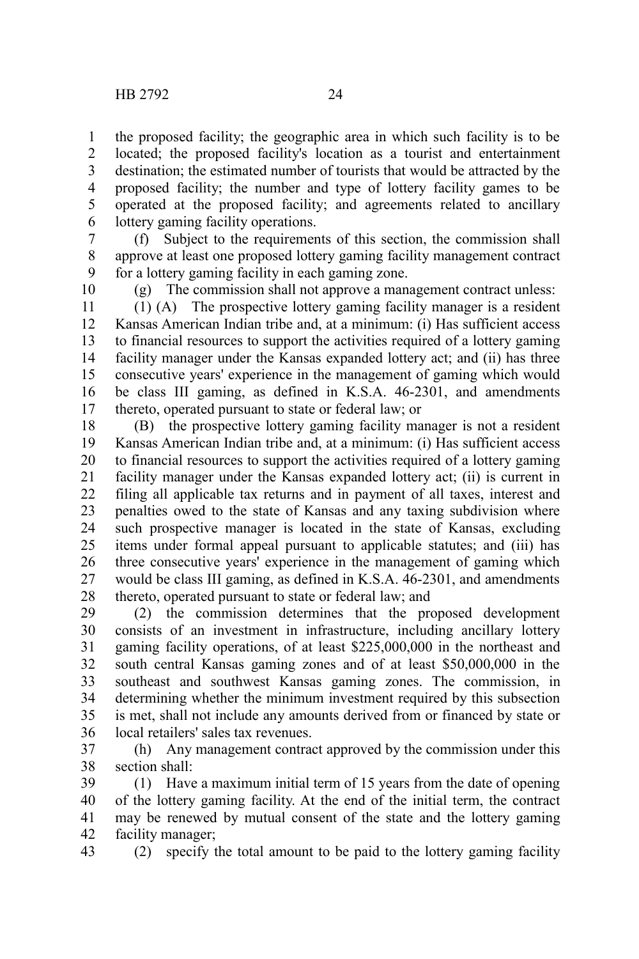the proposed facility; the geographic area in which such facility is to be located; the proposed facility's location as a tourist and entertainment destination; the estimated number of tourists that would be attracted by the proposed facility; the number and type of lottery facility games to be operated at the proposed facility; and agreements related to ancillary lottery gaming facility operations. 1 2 3 4 5 6

(f) Subject to the requirements of this section, the commission shall approve at least one proposed lottery gaming facility management contract for a lottery gaming facility in each gaming zone. 7 8 9

10

(g) The commission shall not approve a management contract unless:

(1) (A) The prospective lottery gaming facility manager is a resident Kansas American Indian tribe and, at a minimum: (i) Has sufficient access to financial resources to support the activities required of a lottery gaming facility manager under the Kansas expanded lottery act; and (ii) has three consecutive years' experience in the management of gaming which would be class III gaming, as defined in K.S.A. 46-2301, and amendments thereto, operated pursuant to state or federal law; or 11 12 13 14 15 16 17

(B) the prospective lottery gaming facility manager is not a resident Kansas American Indian tribe and, at a minimum: (i) Has sufficient access to financial resources to support the activities required of a lottery gaming facility manager under the Kansas expanded lottery act; (ii) is current in filing all applicable tax returns and in payment of all taxes, interest and penalties owed to the state of Kansas and any taxing subdivision where such prospective manager is located in the state of Kansas, excluding items under formal appeal pursuant to applicable statutes; and (iii) has three consecutive years' experience in the management of gaming which would be class III gaming, as defined in K.S.A. 46-2301, and amendments thereto, operated pursuant to state or federal law; and 18 19 20 21 22 23 24 25 26 27 28

(2) the commission determines that the proposed development consists of an investment in infrastructure, including ancillary lottery gaming facility operations, of at least \$225,000,000 in the northeast and south central Kansas gaming zones and of at least \$50,000,000 in the southeast and southwest Kansas gaming zones. The commission, in determining whether the minimum investment required by this subsection is met, shall not include any amounts derived from or financed by state or local retailers' sales tax revenues. 29 30 31 32 33 34 35 36

(h) Any management contract approved by the commission under this section shall: 37 38

(1) Have a maximum initial term of 15 years from the date of opening of the lottery gaming facility. At the end of the initial term, the contract may be renewed by mutual consent of the state and the lottery gaming facility manager; 39 40 41 42

(2) specify the total amount to be paid to the lottery gaming facility 43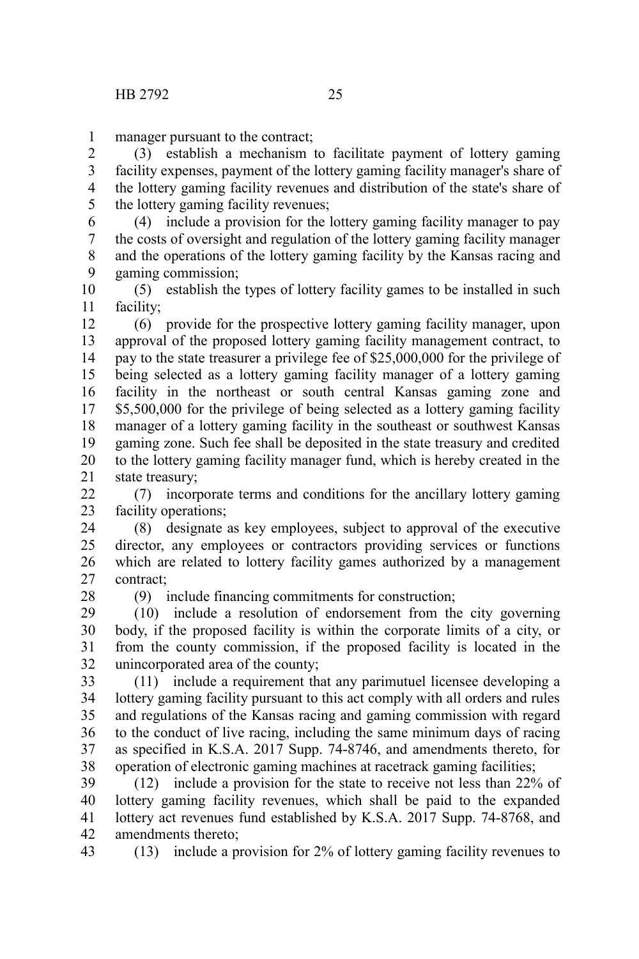manager pursuant to the contract; 1

(3) establish a mechanism to facilitate payment of lottery gaming facility expenses, payment of the lottery gaming facility manager's share of the lottery gaming facility revenues and distribution of the state's share of the lottery gaming facility revenues; 2 3 4 5

(4) include a provision for the lottery gaming facility manager to pay the costs of oversight and regulation of the lottery gaming facility manager and the operations of the lottery gaming facility by the Kansas racing and gaming commission; 6 7 8 9

(5) establish the types of lottery facility games to be installed in such facility; 10 11

(6) provide for the prospective lottery gaming facility manager, upon approval of the proposed lottery gaming facility management contract, to pay to the state treasurer a privilege fee of \$25,000,000 for the privilege of being selected as a lottery gaming facility manager of a lottery gaming facility in the northeast or south central Kansas gaming zone and \$5,500,000 for the privilege of being selected as a lottery gaming facility manager of a lottery gaming facility in the southeast or southwest Kansas gaming zone. Such fee shall be deposited in the state treasury and credited to the lottery gaming facility manager fund, which is hereby created in the state treasury; 12 13 14 15 16 17 18 19 20 21

(7) incorporate terms and conditions for the ancillary lottery gaming facility operations: 22 23

(8) designate as key employees, subject to approval of the executive director, any employees or contractors providing services or functions which are related to lottery facility games authorized by a management contract; 24 25 26 27

28

(9) include financing commitments for construction;

(10) include a resolution of endorsement from the city governing body, if the proposed facility is within the corporate limits of a city, or from the county commission, if the proposed facility is located in the unincorporated area of the county; 29 30 31 32

(11) include a requirement that any parimutuel licensee developing a lottery gaming facility pursuant to this act comply with all orders and rules and regulations of the Kansas racing and gaming commission with regard to the conduct of live racing, including the same minimum days of racing as specified in K.S.A. 2017 Supp. 74-8746, and amendments thereto, for operation of electronic gaming machines at racetrack gaming facilities; 33 34 35 36 37 38

(12) include a provision for the state to receive not less than 22% of lottery gaming facility revenues, which shall be paid to the expanded lottery act revenues fund established by K.S.A. 2017 Supp. 74-8768, and amendments thereto; 39 40 41 42

(13) include a provision for 2% of lottery gaming facility revenues to 43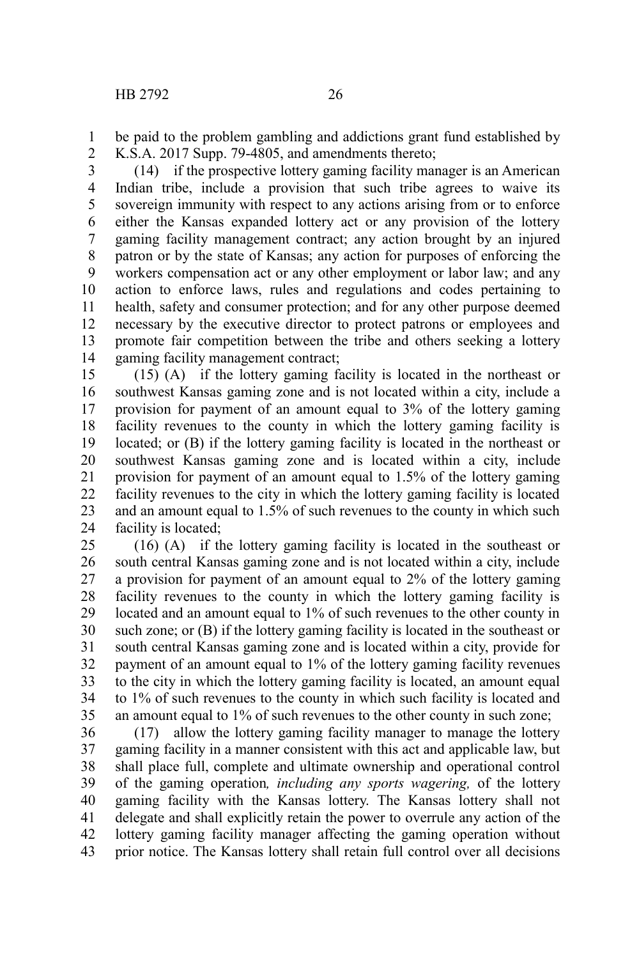be paid to the problem gambling and addictions grant fund established by K.S.A. 2017 Supp. 79-4805, and amendments thereto; 1 2

(14) if the prospective lottery gaming facility manager is an American Indian tribe, include a provision that such tribe agrees to waive its sovereign immunity with respect to any actions arising from or to enforce either the Kansas expanded lottery act or any provision of the lottery gaming facility management contract; any action brought by an injured patron or by the state of Kansas; any action for purposes of enforcing the workers compensation act or any other employment or labor law; and any action to enforce laws, rules and regulations and codes pertaining to health, safety and consumer protection; and for any other purpose deemed necessary by the executive director to protect patrons or employees and promote fair competition between the tribe and others seeking a lottery gaming facility management contract; 3 4 5 6 7 8 9 10 11 12 13 14

(15) (A) if the lottery gaming facility is located in the northeast or southwest Kansas gaming zone and is not located within a city, include a provision for payment of an amount equal to 3% of the lottery gaming facility revenues to the county in which the lottery gaming facility is located; or (B) if the lottery gaming facility is located in the northeast or southwest Kansas gaming zone and is located within a city, include provision for payment of an amount equal to 1.5% of the lottery gaming facility revenues to the city in which the lottery gaming facility is located and an amount equal to 1.5% of such revenues to the county in which such facility is located; 15 16 17 18 19 20 21 22 23 24

(16) (A) if the lottery gaming facility is located in the southeast or south central Kansas gaming zone and is not located within a city, include a provision for payment of an amount equal to 2% of the lottery gaming facility revenues to the county in which the lottery gaming facility is located and an amount equal to 1% of such revenues to the other county in such zone; or (B) if the lottery gaming facility is located in the southeast or south central Kansas gaming zone and is located within a city, provide for payment of an amount equal to 1% of the lottery gaming facility revenues to the city in which the lottery gaming facility is located, an amount equal to 1% of such revenues to the county in which such facility is located and an amount equal to 1% of such revenues to the other county in such zone; 25 26 27 28 29 30 31 32 33 34 35

(17) allow the lottery gaming facility manager to manage the lottery gaming facility in a manner consistent with this act and applicable law, but shall place full, complete and ultimate ownership and operational control of the gaming operation*, including any sports wagering,* of the lottery gaming facility with the Kansas lottery. The Kansas lottery shall not delegate and shall explicitly retain the power to overrule any action of the lottery gaming facility manager affecting the gaming operation without prior notice. The Kansas lottery shall retain full control over all decisions 36 37 38 39 40 41 42 43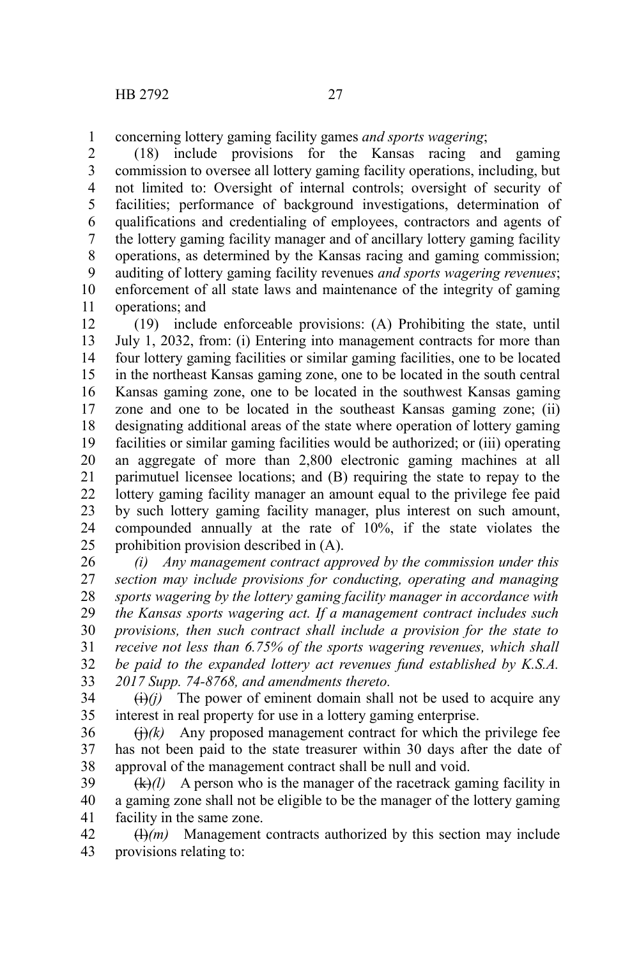concerning lottery gaming facility games *and sports wagering*; 1

(18) include provisions for the Kansas racing and gaming commission to oversee all lottery gaming facility operations, including, but not limited to: Oversight of internal controls; oversight of security of facilities; performance of background investigations, determination of qualifications and credentialing of employees, contractors and agents of the lottery gaming facility manager and of ancillary lottery gaming facility operations, as determined by the Kansas racing and gaming commission; auditing of lottery gaming facility revenues *and sports wagering revenues*; enforcement of all state laws and maintenance of the integrity of gaming operations; and 2 3 4 5 6 7 8 9 10 11

(19) include enforceable provisions: (A) Prohibiting the state, until July 1, 2032, from: (i) Entering into management contracts for more than four lottery gaming facilities or similar gaming facilities, one to be located in the northeast Kansas gaming zone, one to be located in the south central Kansas gaming zone, one to be located in the southwest Kansas gaming zone and one to be located in the southeast Kansas gaming zone; (ii) designating additional areas of the state where operation of lottery gaming facilities or similar gaming facilities would be authorized; or (iii) operating an aggregate of more than 2,800 electronic gaming machines at all parimutuel licensee locations; and (B) requiring the state to repay to the lottery gaming facility manager an amount equal to the privilege fee paid by such lottery gaming facility manager, plus interest on such amount, compounded annually at the rate of 10%, if the state violates the prohibition provision described in (A). 12 13 14 15 16 17 18 19 20 21 22 23 24 25

*(i) Any management contract approved by the commission under this section may include provisions for conducting, operating and managing sports wagering by the lottery gaming facility manager in accordance with the Kansas sports wagering act. If a management contract includes such provisions, then such contract shall include a provision for the state to receive not less than 6.75% of the sports wagering revenues, which shall be paid to the expanded lottery act revenues fund established by K.S.A. 2017 Supp. 74-8768, and amendments thereto.* 26 27 28 29 30 31 32 33

 $\overrightarrow{(i)}$ *(i)* The power of eminent domain shall not be used to acquire any interest in real property for use in a lottery gaming enterprise. 34 35

 $(j)(k)$  Any proposed management contract for which the privilege fee has not been paid to the state treasurer within 30 days after the date of approval of the management contract shall be null and void. 36 37 38

(k)*(l)* A person who is the manager of the racetrack gaming facility in a gaming zone shall not be eligible to be the manager of the lottery gaming facility in the same zone. 39 40 41

 $(H)(m)$  Management contracts authorized by this section may include provisions relating to: 42 43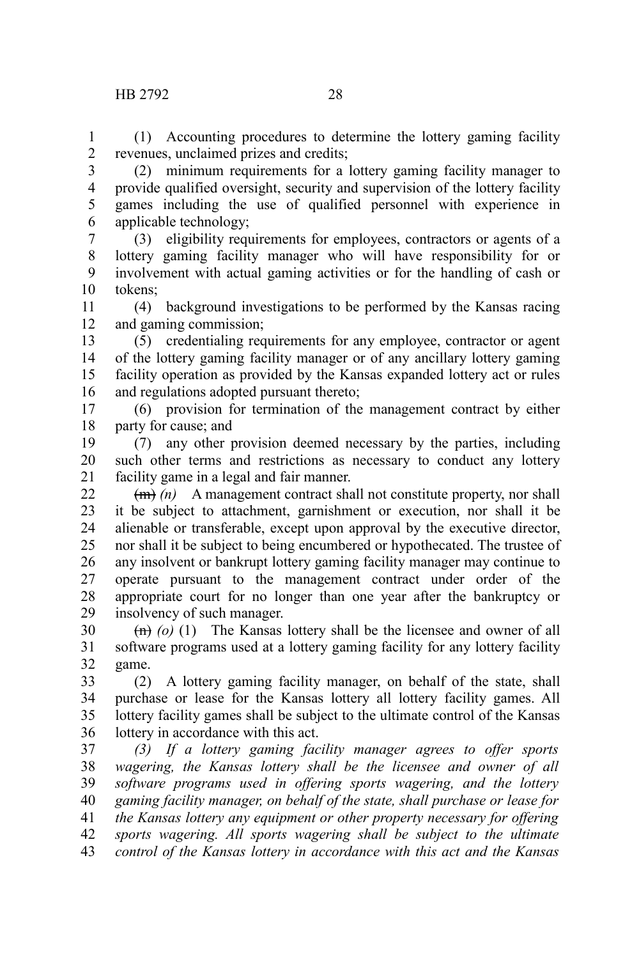(1) Accounting procedures to determine the lottery gaming facility revenues, unclaimed prizes and credits; 1 2

(2) minimum requirements for a lottery gaming facility manager to provide qualified oversight, security and supervision of the lottery facility games including the use of qualified personnel with experience in applicable technology; 3 4 5 6

(3) eligibility requirements for employees, contractors or agents of a lottery gaming facility manager who will have responsibility for or involvement with actual gaming activities or for the handling of cash or tokens; 7 8 9 10

(4) background investigations to be performed by the Kansas racing and gaming commission; 11 12

(5) credentialing requirements for any employee, contractor or agent of the lottery gaming facility manager or of any ancillary lottery gaming facility operation as provided by the Kansas expanded lottery act or rules and regulations adopted pursuant thereto; 13 14 15 16

(6) provision for termination of the management contract by either party for cause; and 17 18

(7) any other provision deemed necessary by the parties, including such other terms and restrictions as necessary to conduct any lottery facility game in a legal and fair manner. 19 20 21

(m) *(n)* A management contract shall not constitute property, nor shall it be subject to attachment, garnishment or execution, nor shall it be alienable or transferable, except upon approval by the executive director, nor shall it be subject to being encumbered or hypothecated. The trustee of any insolvent or bankrupt lottery gaming facility manager may continue to operate pursuant to the management contract under order of the appropriate court for no longer than one year after the bankruptcy or insolvency of such manager. 22 23 24 25 26 27 28 29

(n) *(o)* (1) The Kansas lottery shall be the licensee and owner of all software programs used at a lottery gaming facility for any lottery facility game. 30 31 32

(2) A lottery gaming facility manager, on behalf of the state, shall purchase or lease for the Kansas lottery all lottery facility games. All lottery facility games shall be subject to the ultimate control of the Kansas lottery in accordance with this act. 33 34 35 36

*(3) If a lottery gaming facility manager agrees to offer sports wagering, the Kansas lottery shall be the licensee and owner of all software programs used in offering sports wagering, and the lottery gaming facility manager, on behalf of the state, shall purchase or lease for the Kansas lottery any equipment or other property necessary for offering sports wagering. All sports wagering shall be subject to the ultimate control of the Kansas lottery in accordance with this act and the Kansas* 37 38 39 40 41 42 43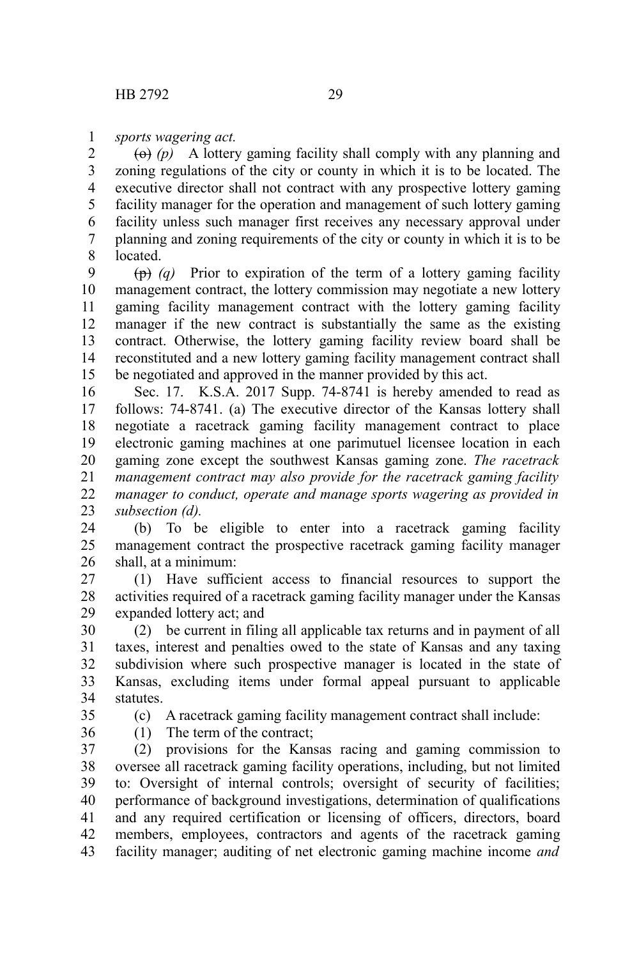*sports wagering act.* 1

 $\left(\Theta\right)$  *(p)* A lottery gaming facility shall comply with any planning and zoning regulations of the city or county in which it is to be located. The executive director shall not contract with any prospective lottery gaming facility manager for the operation and management of such lottery gaming facility unless such manager first receives any necessary approval under planning and zoning requirements of the city or county in which it is to be **located** 2 3 4 5 6 7 8

(p) *(q)* Prior to expiration of the term of a lottery gaming facility management contract, the lottery commission may negotiate a new lottery gaming facility management contract with the lottery gaming facility manager if the new contract is substantially the same as the existing contract. Otherwise, the lottery gaming facility review board shall be reconstituted and a new lottery gaming facility management contract shall be negotiated and approved in the manner provided by this act. 9 10 11 12 13 14 15

Sec. 17. K.S.A. 2017 Supp. 74-8741 is hereby amended to read as follows: 74-8741. (a) The executive director of the Kansas lottery shall negotiate a racetrack gaming facility management contract to place electronic gaming machines at one parimutuel licensee location in each gaming zone except the southwest Kansas gaming zone. *The racetrack management contract may also provide for the racetrack gaming facility manager to conduct, operate and manage sports wagering as provided in subsection (d).* 16 17 18 19 20 21 22 23

(b) To be eligible to enter into a racetrack gaming facility management contract the prospective racetrack gaming facility manager shall, at a minimum: 24 25 26

(1) Have sufficient access to financial resources to support the activities required of a racetrack gaming facility manager under the Kansas expanded lottery act; and 27 28 29

(2) be current in filing all applicable tax returns and in payment of all taxes, interest and penalties owed to the state of Kansas and any taxing subdivision where such prospective manager is located in the state of Kansas, excluding items under formal appeal pursuant to applicable statutes. 30 31 32 33 34

35 36 (c) A racetrack gaming facility management contract shall include:

(1) The term of the contract;

(2) provisions for the Kansas racing and gaming commission to oversee all racetrack gaming facility operations, including, but not limited to: Oversight of internal controls; oversight of security of facilities; performance of background investigations, determination of qualifications and any required certification or licensing of officers, directors, board members, employees, contractors and agents of the racetrack gaming facility manager; auditing of net electronic gaming machine income *and* 37 38 39 40 41 42 43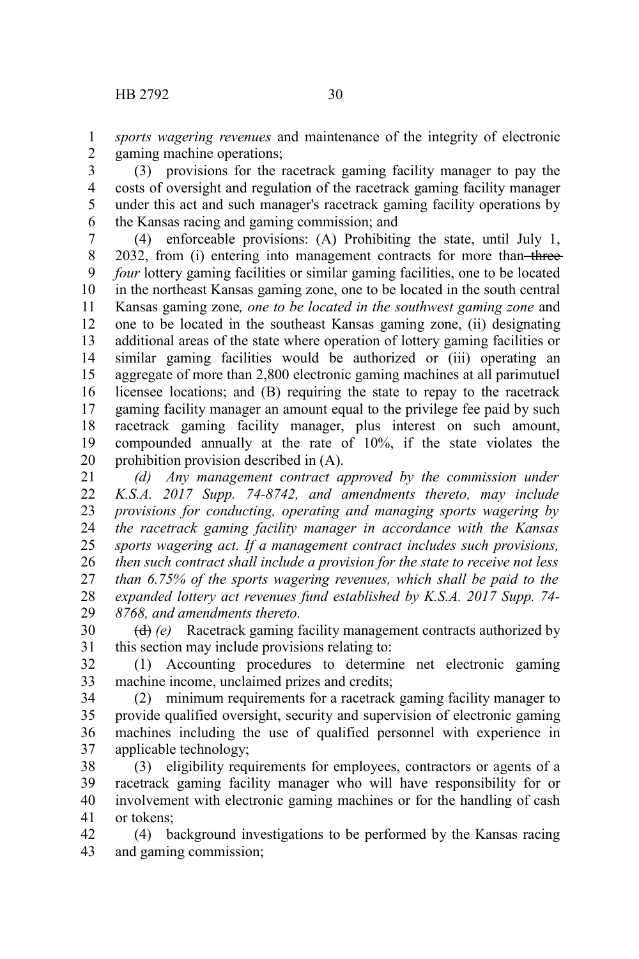*sports wagering revenues* and maintenance of the integrity of electronic gaming machine operations; 1 2

(3) provisions for the racetrack gaming facility manager to pay the costs of oversight and regulation of the racetrack gaming facility manager under this act and such manager's racetrack gaming facility operations by the Kansas racing and gaming commission; and 3 4 5 6

(4) enforceable provisions: (A) Prohibiting the state, until July 1, 2032, from (i) entering into management contracts for more than-three*four* lottery gaming facilities or similar gaming facilities, one to be located in the northeast Kansas gaming zone, one to be located in the south central Kansas gaming zone*, one to be located in the southwest gaming zone* and one to be located in the southeast Kansas gaming zone, (ii) designating additional areas of the state where operation of lottery gaming facilities or similar gaming facilities would be authorized or (iii) operating an aggregate of more than 2,800 electronic gaming machines at all parimutuel licensee locations; and (B) requiring the state to repay to the racetrack gaming facility manager an amount equal to the privilege fee paid by such racetrack gaming facility manager, plus interest on such amount, compounded annually at the rate of 10%, if the state violates the prohibition provision described in (A). 7 8 9 10 11 12 13 14 15 16 17 18 19 20

*(d) Any management contract approved by the commission under K.S.A. 2017 Supp. 74-8742, and amendments thereto, may include provisions for conducting, operating and managing sports wagering by the racetrack gaming facility manager in accordance with the Kansas sports wagering act. If a management contract includes such provisions, then such contract shall include a provision for the state to receive not less than 6.75% of the sports wagering revenues, which shall be paid to the expanded lottery act revenues fund established by K.S.A. 2017 Supp. 74- 8768, and amendments thereto.* 21 22 23 24 25 26 27 28 29

(d) *(e)* Racetrack gaming facility management contracts authorized by this section may include provisions relating to: 30 31

(1) Accounting procedures to determine net electronic gaming machine income, unclaimed prizes and credits; 32 33

(2) minimum requirements for a racetrack gaming facility manager to provide qualified oversight, security and supervision of electronic gaming machines including the use of qualified personnel with experience in applicable technology; 34 35 36 37

(3) eligibility requirements for employees, contractors or agents of a racetrack gaming facility manager who will have responsibility for or involvement with electronic gaming machines or for the handling of cash or tokens; 38 39 40 41

(4) background investigations to be performed by the Kansas racing and gaming commission; 42 43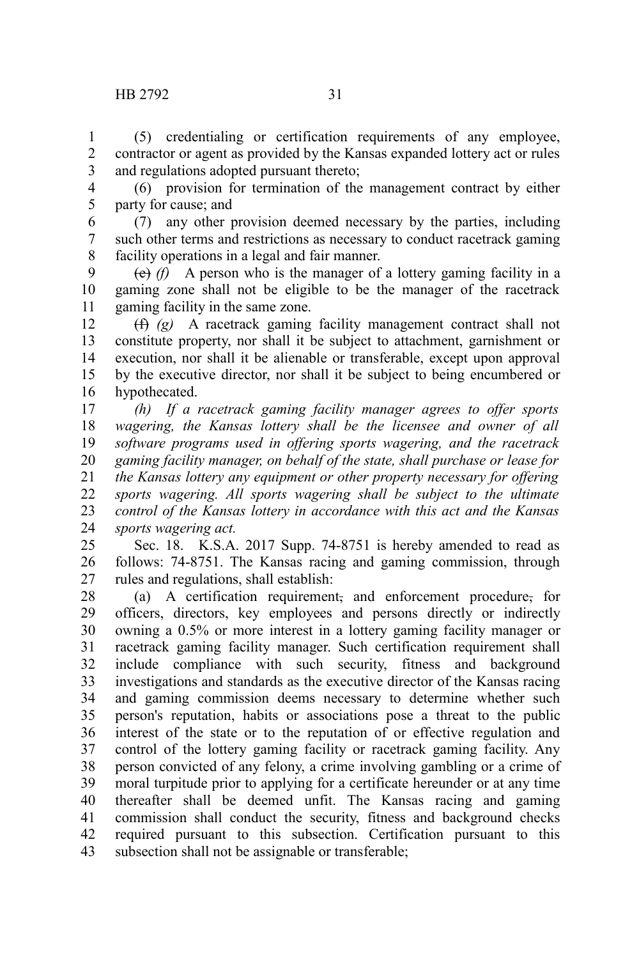(5) credentialing or certification requirements of any employee, contractor or agent as provided by the Kansas expanded lottery act or rules and regulations adopted pursuant thereto; 1 2 3

(6) provision for termination of the management contract by either party for cause; and 4 5

(7) any other provision deemed necessary by the parties, including such other terms and restrictions as necessary to conduct racetrack gaming facility operations in a legal and fair manner. 6 7 8

 $(e)$  *(f)* A person who is the manager of a lottery gaming facility in a gaming zone shall not be eligible to be the manager of the racetrack gaming facility in the same zone. 9 10 11

(f) *(g)* A racetrack gaming facility management contract shall not constitute property, nor shall it be subject to attachment, garnishment or execution, nor shall it be alienable or transferable, except upon approval by the executive director, nor shall it be subject to being encumbered or hypothecated. 12 13 14 15 16

*(h) If a racetrack gaming facility manager agrees to offer sports wagering, the Kansas lottery shall be the licensee and owner of all software programs used in offering sports wagering, and the racetrack gaming facility manager, on behalf of the state, shall purchase or lease for the Kansas lottery any equipment or other property necessary for offering sports wagering. All sports wagering shall be subject to the ultimate control of the Kansas lottery in accordance with this act and the Kansas sports wagering act.* 17 18 19 20 21 22 23 24

Sec. 18. K.S.A. 2017 Supp. 74-8751 is hereby amended to read as follows: 74-8751. The Kansas racing and gaming commission, through rules and regulations, shall establish: 25 26 27

(a) A certification requirement, and enforcement procedure, for officers, directors, key employees and persons directly or indirectly owning a 0.5% or more interest in a lottery gaming facility manager or racetrack gaming facility manager. Such certification requirement shall include compliance with such security, fitness and background investigations and standards as the executive director of the Kansas racing and gaming commission deems necessary to determine whether such person's reputation, habits or associations pose a threat to the public interest of the state or to the reputation of or effective regulation and control of the lottery gaming facility or racetrack gaming facility. Any person convicted of any felony, a crime involving gambling or a crime of moral turpitude prior to applying for a certificate hereunder or at any time thereafter shall be deemed unfit. The Kansas racing and gaming commission shall conduct the security, fitness and background checks required pursuant to this subsection. Certification pursuant to this subsection shall not be assignable or transferable; 28 29 30 31 32 33 34 35 36 37 38 39 40 41 42 43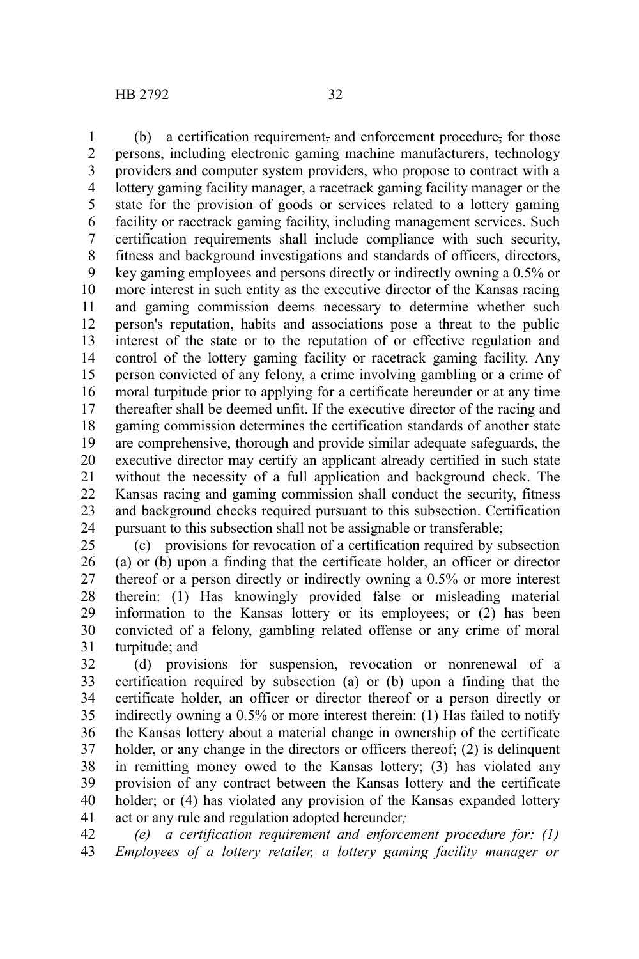(b) a certification requirement, and enforcement procedure, for those persons, including electronic gaming machine manufacturers, technology providers and computer system providers, who propose to contract with a lottery gaming facility manager, a racetrack gaming facility manager or the state for the provision of goods or services related to a lottery gaming facility or racetrack gaming facility, including management services. Such certification requirements shall include compliance with such security, fitness and background investigations and standards of officers, directors, key gaming employees and persons directly or indirectly owning a 0.5% or more interest in such entity as the executive director of the Kansas racing and gaming commission deems necessary to determine whether such person's reputation, habits and associations pose a threat to the public interest of the state or to the reputation of or effective regulation and control of the lottery gaming facility or racetrack gaming facility. Any person convicted of any felony, a crime involving gambling or a crime of moral turpitude prior to applying for a certificate hereunder or at any time thereafter shall be deemed unfit. If the executive director of the racing and gaming commission determines the certification standards of another state are comprehensive, thorough and provide similar adequate safeguards, the executive director may certify an applicant already certified in such state 1 2 3 4 5 6 7 8 9 10 11 12 13 14 15 16 17 18 19 20

without the necessity of a full application and background check. The Kansas racing and gaming commission shall conduct the security, fitness and background checks required pursuant to this subsection. Certification pursuant to this subsection shall not be assignable or transferable; 21 22 23 24

(c) provisions for revocation of a certification required by subsection (a) or (b) upon a finding that the certificate holder, an officer or director thereof or a person directly or indirectly owning a 0.5% or more interest therein: (1) Has knowingly provided false or misleading material information to the Kansas lottery or its employees; or (2) has been convicted of a felony, gambling related offense or any crime of moral turpitude; and 25 26 27 28 29 30 31

(d) provisions for suspension, revocation or nonrenewal of a certification required by subsection (a) or (b) upon a finding that the certificate holder, an officer or director thereof or a person directly or indirectly owning a 0.5% or more interest therein: (1) Has failed to notify the Kansas lottery about a material change in ownership of the certificate holder, or any change in the directors or officers thereof; (2) is delinquent in remitting money owed to the Kansas lottery; (3) has violated any provision of any contract between the Kansas lottery and the certificate holder; or (4) has violated any provision of the Kansas expanded lottery act or any rule and regulation adopted hereunder*;* 32 33 34 35 36 37 38 39 40 41

*(e) a certification requirement and enforcement procedure for: (1) Employees of a lottery retailer, a lottery gaming facility manager or* 42 43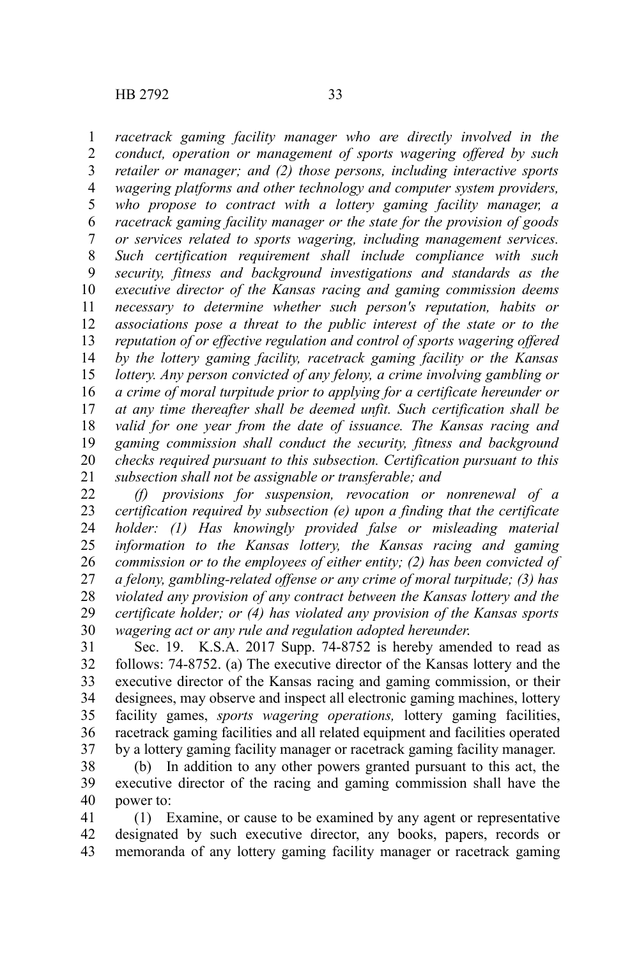*racetrack gaming facility manager who are directly involved in the conduct, operation or management of sports wagering offered by such retailer or manager; and (2) those persons, including interactive sports wagering platforms and other technology and computer system providers, who propose to contract with a lottery gaming facility manager, a racetrack gaming facility manager or the state for the provision of goods or services related to sports wagering, including management services. Such certification requirement shall include compliance with such security, fitness and background investigations and standards as the executive director of the Kansas racing and gaming commission deems necessary to determine whether such person's reputation, habits or associations pose a threat to the public interest of the state or to the reputation of or effective regulation and control of sports wagering offered by the lottery gaming facility, racetrack gaming facility or the Kansas lottery. Any person convicted of any felony, a crime involving gambling or a crime of moral turpitude prior to applying for a certificate hereunder or at any time thereafter shall be deemed unfit. Such certification shall be valid for one year from the date of issuance. The Kansas racing and gaming commission shall conduct the security, fitness and background checks required pursuant to this subsection. Certification pursuant to this subsection shall not be assignable or transferable; and* 1 2 3 4 5 6 7 8 9 10 11 12 13 14 15 16 17 18 19 20 21

*(f) provisions for suspension, revocation or nonrenewal of a certification required by subsection (e) upon a finding that the certificate holder: (1) Has knowingly provided false or misleading material information to the Kansas lottery, the Kansas racing and gaming commission or to the employees of either entity; (2) has been convicted of a felony, gambling-related offense or any crime of moral turpitude; (3) has violated any provision of any contract between the Kansas lottery and the certificate holder; or (4) has violated any provision of the Kansas sports wagering act or any rule and regulation adopted hereunder*. 22 23 24 25 26 27 28 29 30

Sec. 19. K.S.A. 2017 Supp. 74-8752 is hereby amended to read as follows: 74-8752. (a) The executive director of the Kansas lottery and the executive director of the Kansas racing and gaming commission, or their designees, may observe and inspect all electronic gaming machines, lottery facility games, *sports wagering operations,* lottery gaming facilities, racetrack gaming facilities and all related equipment and facilities operated by a lottery gaming facility manager or racetrack gaming facility manager. 31 32 33 34 35 36 37

(b) In addition to any other powers granted pursuant to this act, the executive director of the racing and gaming commission shall have the power to: 38 39 40

(1) Examine, or cause to be examined by any agent or representative designated by such executive director, any books, papers, records or memoranda of any lottery gaming facility manager or racetrack gaming 41 42 43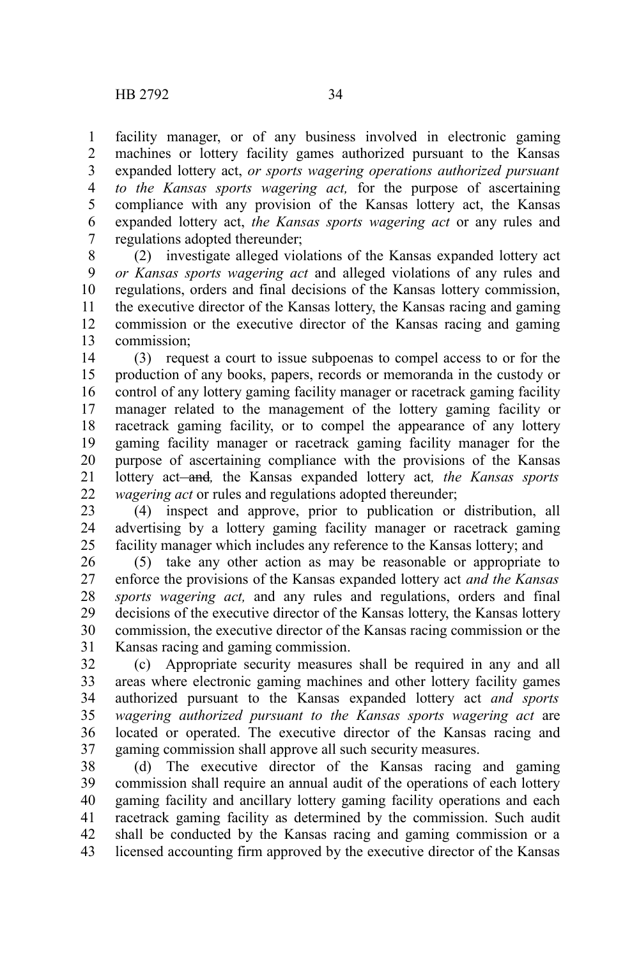facility manager, or of any business involved in electronic gaming machines or lottery facility games authorized pursuant to the Kansas expanded lottery act, *or sports wagering operations authorized pursuant to the Kansas sports wagering act,* for the purpose of ascertaining compliance with any provision of the Kansas lottery act, the Kansas expanded lottery act, *the Kansas sports wagering act* or any rules and regulations adopted thereunder; 1 2 3 4 5 6 7

(2) investigate alleged violations of the Kansas expanded lottery act *or Kansas sports wagering act* and alleged violations of any rules and regulations, orders and final decisions of the Kansas lottery commission, the executive director of the Kansas lottery, the Kansas racing and gaming commission or the executive director of the Kansas racing and gaming commission; 8 9 10 11 12 13

(3) request a court to issue subpoenas to compel access to or for the production of any books, papers, records or memoranda in the custody or control of any lottery gaming facility manager or racetrack gaming facility manager related to the management of the lottery gaming facility or racetrack gaming facility, or to compel the appearance of any lottery gaming facility manager or racetrack gaming facility manager for the purpose of ascertaining compliance with the provisions of the Kansas lottery act<del> and</del>, the Kansas expanded lottery act, the Kansas sports *wagering act* or rules and regulations adopted thereunder; 14 15 16 17 18 19 20 21 22

(4) inspect and approve, prior to publication or distribution, all advertising by a lottery gaming facility manager or racetrack gaming facility manager which includes any reference to the Kansas lottery; and 23 24 25

(5) take any other action as may be reasonable or appropriate to enforce the provisions of the Kansas expanded lottery act *and the Kansas sports wagering act,* and any rules and regulations, orders and final decisions of the executive director of the Kansas lottery, the Kansas lottery commission, the executive director of the Kansas racing commission or the Kansas racing and gaming commission. 26 27 28 29 30 31

(c) Appropriate security measures shall be required in any and all areas where electronic gaming machines and other lottery facility games authorized pursuant to the Kansas expanded lottery act *and sports wagering authorized pursuant to the Kansas sports wagering act* are located or operated. The executive director of the Kansas racing and gaming commission shall approve all such security measures. 32 33 34 35 36 37

(d) The executive director of the Kansas racing and gaming commission shall require an annual audit of the operations of each lottery gaming facility and ancillary lottery gaming facility operations and each racetrack gaming facility as determined by the commission. Such audit shall be conducted by the Kansas racing and gaming commission or a licensed accounting firm approved by the executive director of the Kansas 38 39 40 41 42 43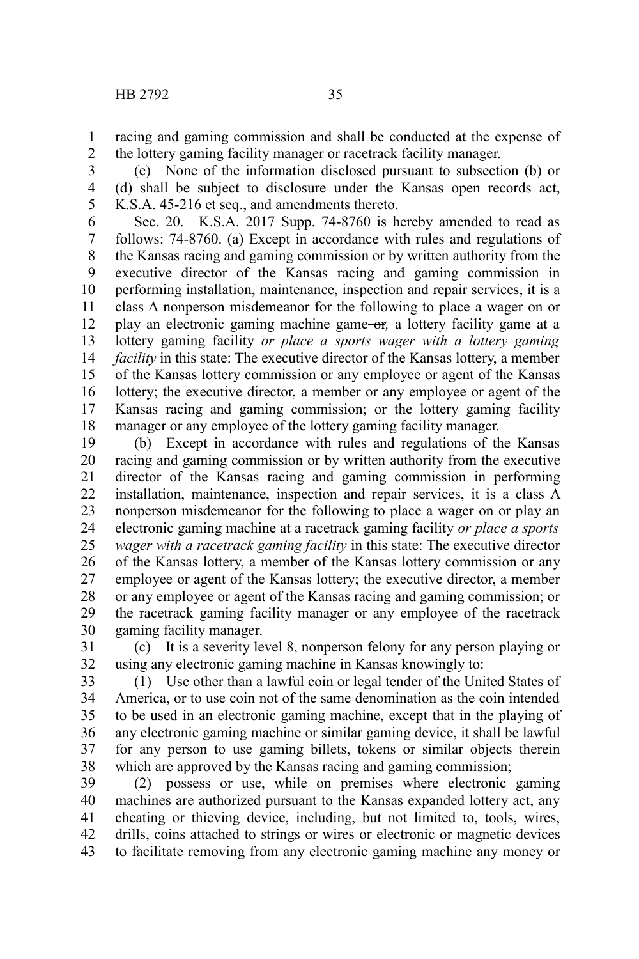racing and gaming commission and shall be conducted at the expense of the lottery gaming facility manager or racetrack facility manager. 1 2

(e) None of the information disclosed pursuant to subsection (b) or (d) shall be subject to disclosure under the Kansas open records act, K.S.A. 45-216 et seq., and amendments thereto. 3 4 5

Sec. 20. K.S.A. 2017 Supp. 74-8760 is hereby amended to read as follows: 74-8760. (a) Except in accordance with rules and regulations of the Kansas racing and gaming commission or by written authority from the executive director of the Kansas racing and gaming commission in performing installation, maintenance, inspection and repair services, it is a class A nonperson misdemeanor for the following to place a wager on or play an electronic gaming machine game or*,* a lottery facility game at a lottery gaming facility *or place a sports wager with a lottery gaming facility* in this state: The executive director of the Kansas lottery, a member of the Kansas lottery commission or any employee or agent of the Kansas lottery; the executive director, a member or any employee or agent of the Kansas racing and gaming commission; or the lottery gaming facility manager or any employee of the lottery gaming facility manager. 6 7 8 9 10 11 12 13 14 15 16 17 18

(b) Except in accordance with rules and regulations of the Kansas racing and gaming commission or by written authority from the executive director of the Kansas racing and gaming commission in performing installation, maintenance, inspection and repair services, it is a class A nonperson misdemeanor for the following to place a wager on or play an electronic gaming machine at a racetrack gaming facility *or place a sports wager with a racetrack gaming facility* in this state: The executive director of the Kansas lottery, a member of the Kansas lottery commission or any employee or agent of the Kansas lottery; the executive director, a member or any employee or agent of the Kansas racing and gaming commission; or the racetrack gaming facility manager or any employee of the racetrack gaming facility manager. 19 20 21 22 23 24 25 26 27 28 29 30

(c) It is a severity level 8, nonperson felony for any person playing or using any electronic gaming machine in Kansas knowingly to: 31 32

(1) Use other than a lawful coin or legal tender of the United States of America, or to use coin not of the same denomination as the coin intended to be used in an electronic gaming machine, except that in the playing of any electronic gaming machine or similar gaming device, it shall be lawful for any person to use gaming billets, tokens or similar objects therein which are approved by the Kansas racing and gaming commission; 33 34 35 36 37 38

(2) possess or use, while on premises where electronic gaming machines are authorized pursuant to the Kansas expanded lottery act, any cheating or thieving device, including, but not limited to, tools, wires, drills, coins attached to strings or wires or electronic or magnetic devices to facilitate removing from any electronic gaming machine any money or 39 40 41 42 43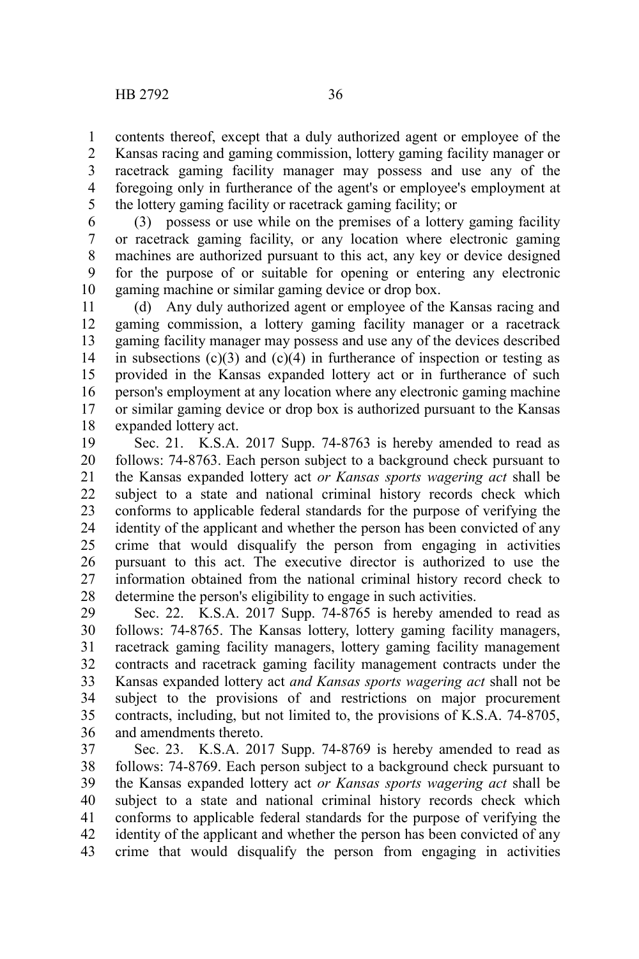contents thereof, except that a duly authorized agent or employee of the Kansas racing and gaming commission, lottery gaming facility manager or racetrack gaming facility manager may possess and use any of the foregoing only in furtherance of the agent's or employee's employment at 1 2 3 4

the lottery gaming facility or racetrack gaming facility; or 5

(3) possess or use while on the premises of a lottery gaming facility or racetrack gaming facility, or any location where electronic gaming machines are authorized pursuant to this act, any key or device designed for the purpose of or suitable for opening or entering any electronic gaming machine or similar gaming device or drop box. 6 7 8 9 10

(d) Any duly authorized agent or employee of the Kansas racing and gaming commission, a lottery gaming facility manager or a racetrack gaming facility manager may possess and use any of the devices described in subsections  $(c)(3)$  and  $(c)(4)$  in furtherance of inspection or testing as provided in the Kansas expanded lottery act or in furtherance of such person's employment at any location where any electronic gaming machine or similar gaming device or drop box is authorized pursuant to the Kansas expanded lottery act. 11 12 13 14 15 16 17 18

Sec. 21. K.S.A. 2017 Supp. 74-8763 is hereby amended to read as follows: 74-8763. Each person subject to a background check pursuant to the Kansas expanded lottery act *or Kansas sports wagering act* shall be subject to a state and national criminal history records check which conforms to applicable federal standards for the purpose of verifying the identity of the applicant and whether the person has been convicted of any crime that would disqualify the person from engaging in activities pursuant to this act. The executive director is authorized to use the information obtained from the national criminal history record check to determine the person's eligibility to engage in such activities. 19 20 21 22 23 24 25 26 27 28

Sec. 22. K.S.A. 2017 Supp. 74-8765 is hereby amended to read as follows: 74-8765. The Kansas lottery, lottery gaming facility managers, racetrack gaming facility managers, lottery gaming facility management contracts and racetrack gaming facility management contracts under the Kansas expanded lottery act *and Kansas sports wagering act* shall not be subject to the provisions of and restrictions on major procurement contracts, including, but not limited to, the provisions of K.S.A. 74-8705, and amendments thereto. 29 30 31 32 33 34 35 36

Sec. 23. K.S.A. 2017 Supp. 74-8769 is hereby amended to read as follows: 74-8769. Each person subject to a background check pursuant to the Kansas expanded lottery act *or Kansas sports wagering act* shall be subject to a state and national criminal history records check which conforms to applicable federal standards for the purpose of verifying the identity of the applicant and whether the person has been convicted of any crime that would disqualify the person from engaging in activities 37 38 39 40 41 42 43